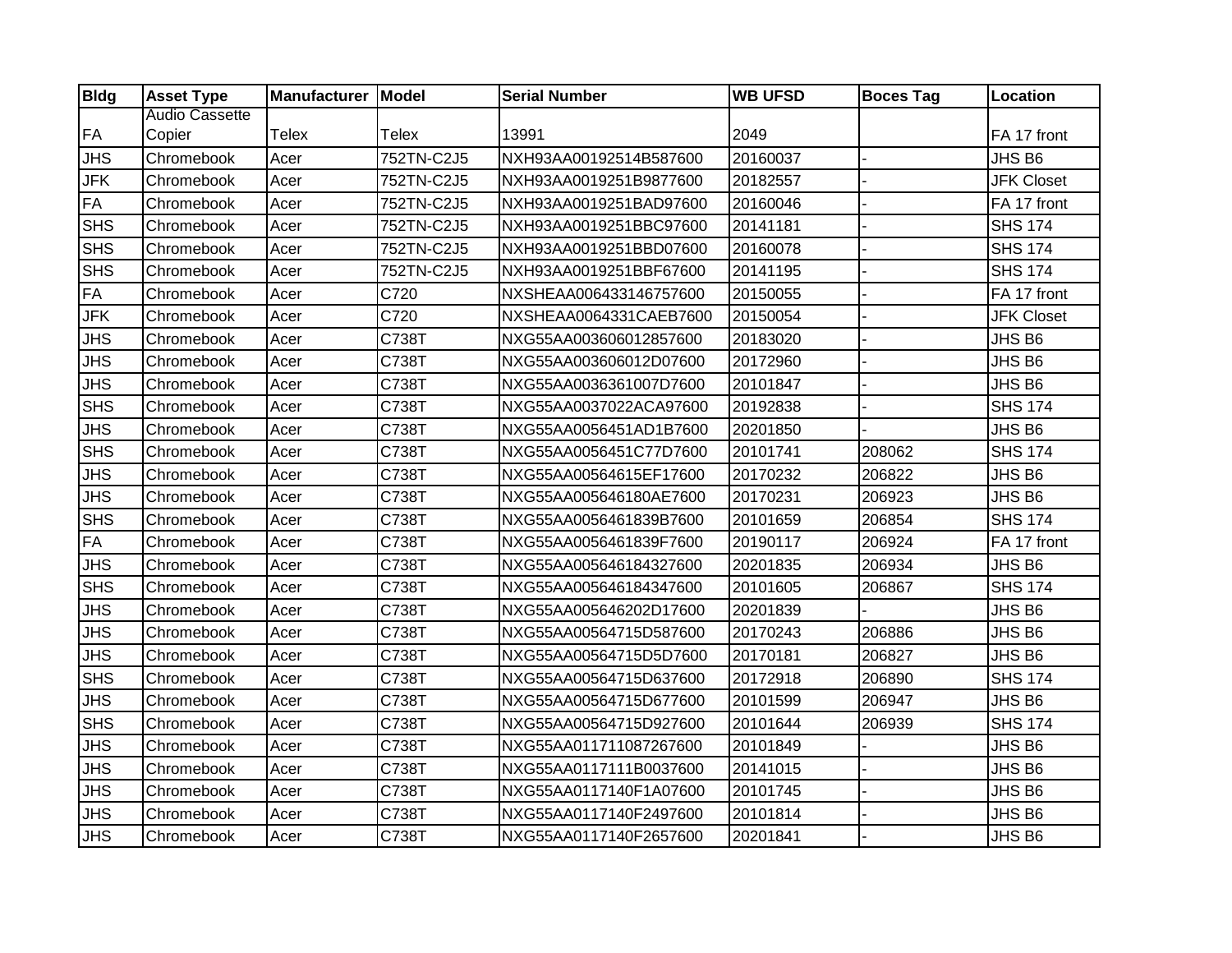| <b>Bldg</b> | <b>Asset Type</b>     | Manufacturer Model |              | <b>Serial Number</b>   | <b>WB UFSD</b> | <b>Boces Tag</b> | <b>Location</b>   |
|-------------|-----------------------|--------------------|--------------|------------------------|----------------|------------------|-------------------|
|             | <b>Audio Cassette</b> |                    |              |                        |                |                  |                   |
| <b>FA</b>   | Copier                | <b>Telex</b>       | <b>Telex</b> | 13991                  | 2049           |                  | FA 17 front       |
| <b>JHS</b>  | Chromebook            | Acer               | 752TN-C2J5   | NXH93AA00192514B587600 | 20160037       |                  | JHS B6            |
| <b>JFK</b>  | Chromebook            | Acer               | 752TN-C2J5   | NXH93AA0019251B9877600 | 20182557       |                  | <b>JFK Closet</b> |
| <b>FA</b>   | Chromebook            | Acer               | 752TN-C2J5   | NXH93AA0019251BAD97600 | 20160046       |                  | FA 17 front       |
| <b>SHS</b>  | Chromebook            | Acer               | 752TN-C2J5   | NXH93AA0019251BBC97600 | 20141181       |                  | <b>SHS 174</b>    |
| <b>SHS</b>  | Chromebook            | Acer               | 752TN-C2J5   | NXH93AA0019251BBD07600 | 20160078       |                  | <b>SHS 174</b>    |
| <b>SHS</b>  | Chromebook            | Acer               | 752TN-C2J5   | NXH93AA0019251BBF67600 | 20141195       |                  | <b>SHS 174</b>    |
| <b>FA</b>   | Chromebook            | Acer               | C720         | NXSHEAA006433146757600 | 20150055       |                  | FA 17 front       |
| <b>JFK</b>  | Chromebook            | Acer               | C720         | NXSHEAA0064331CAEB7600 | 20150054       |                  | <b>JFK Closet</b> |
| <b>JHS</b>  | Chromebook            | Acer               | C738T        | NXG55AA003606012857600 | 20183020       |                  | JHS B6            |
| <b>JHS</b>  | Chromebook            | Acer               | C738T        | NXG55AA003606012D07600 | 20172960       |                  | JHS B6            |
| <b>JHS</b>  | Chromebook            | Acer               | C738T        | NXG55AA0036361007D7600 | 20101847       |                  | JHS B6            |
| <b>SHS</b>  | Chromebook            | Acer               | C738T        | NXG55AA0037022ACA97600 | 20192838       |                  | <b>SHS 174</b>    |
| <b>JHS</b>  | Chromebook            | Acer               | C738T        | NXG55AA0056451AD1B7600 | 20201850       |                  | JHS B6            |
| <b>SHS</b>  | Chromebook            | Acer               | C738T        | NXG55AA0056451C77D7600 | 20101741       | 208062           | <b>SHS 174</b>    |
| <b>JHS</b>  | Chromebook            | Acer               | C738T        | NXG55AA00564615EF17600 | 20170232       | 206822           | JHS B6            |
| <b>JHS</b>  | Chromebook            | Acer               | C738T        | NXG55AA005646180AE7600 | 20170231       | 206923           | JHS B6            |
| <b>SHS</b>  | Chromebook            | Acer               | C738T        | NXG55AA0056461839B7600 | 20101659       | 206854           | <b>SHS 174</b>    |
| <b>FA</b>   | Chromebook            | Acer               | C738T        | NXG55AA0056461839F7600 | 20190117       | 206924           | FA 17 front       |
| <b>JHS</b>  | Chromebook            | Acer               | C738T        | NXG55AA005646184327600 | 20201835       | 206934           | JHS B6            |
| <b>SHS</b>  | Chromebook            | Acer               | C738T        | NXG55AA005646184347600 | 20101605       | 206867           | <b>SHS 174</b>    |
| <b>JHS</b>  | Chromebook            | Acer               | C738T        | NXG55AA005646202D17600 | 20201839       |                  | JHS B6            |
| <b>JHS</b>  | Chromebook            | Acer               | C738T        | NXG55AA00564715D587600 | 20170243       | 206886           | JHS B6            |
| <b>JHS</b>  | Chromebook            | Acer               | C738T        | NXG55AA00564715D5D7600 | 20170181       | 206827           | JHS B6            |
| <b>SHS</b>  | Chromebook            | Acer               | C738T        | NXG55AA00564715D637600 | 20172918       | 206890           | <b>SHS 174</b>    |
| <b>JHS</b>  | Chromebook            | Acer               | C738T        | NXG55AA00564715D677600 | 20101599       | 206947           | JHS B6            |
| <b>SHS</b>  | Chromebook            | Acer               | C738T        | NXG55AA00564715D927600 | 20101644       | 206939           | <b>SHS 174</b>    |
| <b>JHS</b>  | Chromebook            | Acer               | C738T        | NXG55AA011711087267600 | 20101849       |                  | JHS B6            |
| <b>JHS</b>  | Chromebook            | Acer               | C738T        | NXG55AA0117111B0037600 | 20141015       |                  | JHS B6            |
| <b>JHS</b>  | Chromebook            | Acer               | C738T        | NXG55AA0117140F1A07600 | 20101745       |                  | JHS B6            |
| <b>JHS</b>  | Chromebook            | Acer               | C738T        | NXG55AA0117140F2497600 | 20101814       |                  | JHS B6            |
| <b>JHS</b>  | Chromebook            | Acer               | C738T        | NXG55AA0117140F2657600 | 20201841       |                  | JHS B6            |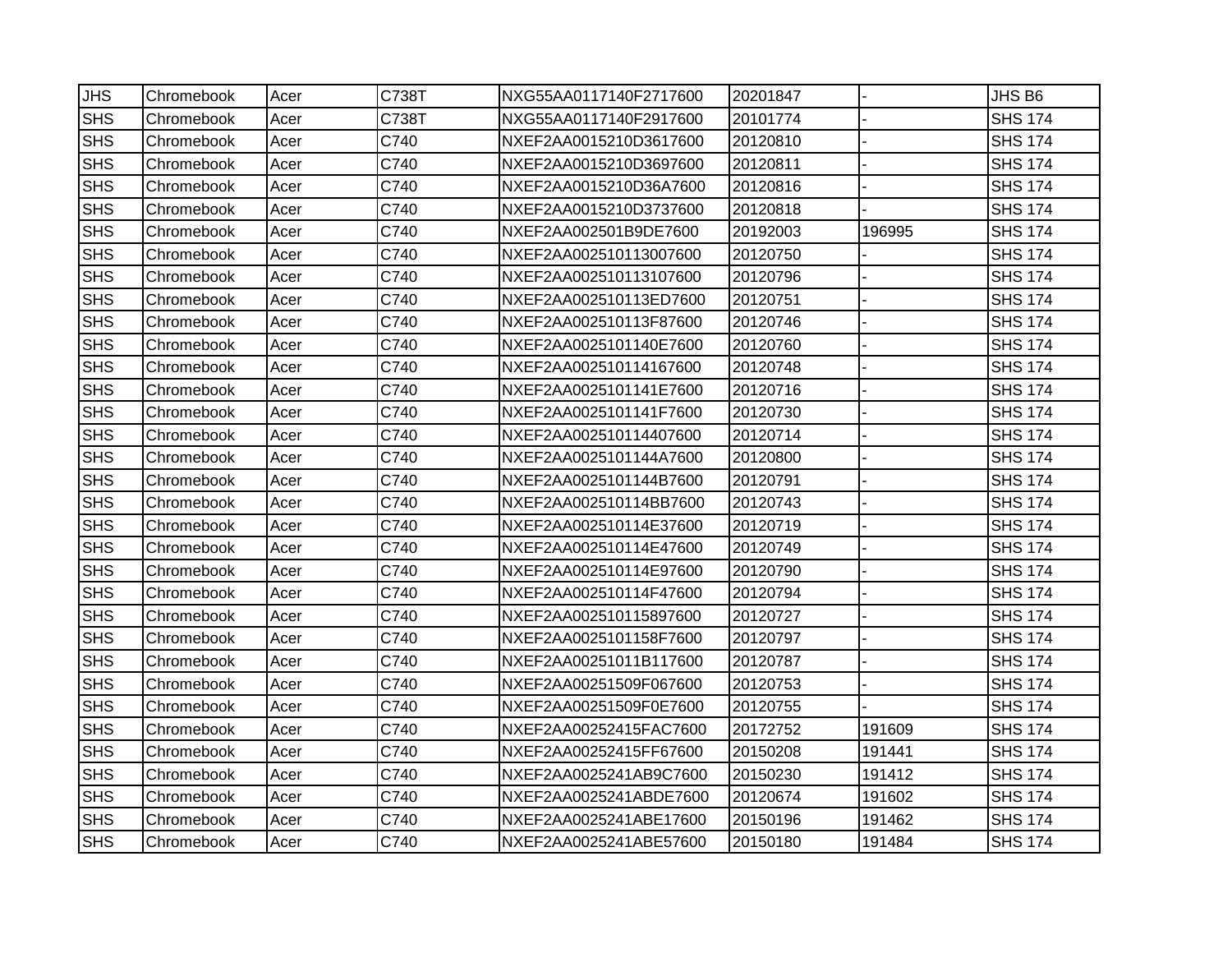| <b>JHS</b> | Chromebook | Acer | C738T | NXG55AA0117140F2717600 | 20201847 |        | JHS <sub>B6</sub> |
|------------|------------|------|-------|------------------------|----------|--------|-------------------|
| <b>SHS</b> | Chromebook | Acer | C738T | NXG55AA0117140F2917600 | 20101774 |        | <b>SHS 174</b>    |
| <b>SHS</b> | Chromebook | Acer | C740  | NXEF2AA0015210D3617600 | 20120810 |        | <b>SHS 174</b>    |
| <b>SHS</b> | Chromebook | Acer | C740  | NXEF2AA0015210D3697600 | 20120811 |        | <b>SHS 174</b>    |
| <b>SHS</b> | Chromebook | Acer | C740  | NXEF2AA0015210D36A7600 | 20120816 |        | <b>SHS 174</b>    |
| <b>SHS</b> | Chromebook | Acer | C740  | NXEF2AA0015210D3737600 | 20120818 |        | <b>SHS 174</b>    |
| <b>SHS</b> | Chromebook | Acer | C740  | NXEF2AA002501B9DE7600  | 20192003 | 196995 | <b>SHS 174</b>    |
| <b>SHS</b> | Chromebook | Acer | C740  | NXEF2AA002510113007600 | 20120750 |        | <b>SHS 174</b>    |
| <b>SHS</b> | Chromebook | Acer | C740  | NXEF2AA002510113107600 | 20120796 |        | <b>SHS 174</b>    |
| <b>SHS</b> | Chromebook | Acer | C740  | NXEF2AA002510113ED7600 | 20120751 |        | <b>SHS 174</b>    |
| <b>SHS</b> | Chromebook | Acer | C740  | NXEF2AA002510113F87600 | 20120746 |        | <b>SHS 174</b>    |
| <b>SHS</b> | Chromebook | Acer | C740  | NXEF2AA0025101140E7600 | 20120760 |        | <b>SHS 174</b>    |
| <b>SHS</b> | Chromebook | Acer | C740  | NXEF2AA002510114167600 | 20120748 |        | <b>SHS 174</b>    |
| <b>SHS</b> | Chromebook | Acer | C740  | NXEF2AA0025101141E7600 | 20120716 |        | <b>SHS 174</b>    |
| <b>SHS</b> | Chromebook | Acer | C740  | NXEF2AA0025101141F7600 | 20120730 |        | <b>SHS 174</b>    |
| <b>SHS</b> | Chromebook | Acer | C740  | NXEF2AA002510114407600 | 20120714 |        | <b>SHS 174</b>    |
| <b>SHS</b> | Chromebook | Acer | C740  | NXEF2AA0025101144A7600 | 20120800 |        | <b>SHS 174</b>    |
| <b>SHS</b> | Chromebook | Acer | C740  | NXEF2AA0025101144B7600 | 20120791 |        | <b>SHS 174</b>    |
| <b>SHS</b> | Chromebook | Acer | C740  | NXEF2AA002510114BB7600 | 20120743 |        | <b>SHS 174</b>    |
| <b>SHS</b> | Chromebook | Acer | C740  | NXEF2AA002510114E37600 | 20120719 |        | <b>SHS 174</b>    |
| <b>SHS</b> | Chromebook | Acer | C740  | NXEF2AA002510114E47600 | 20120749 |        | <b>SHS 174</b>    |
| <b>SHS</b> | Chromebook | Acer | C740  | NXEF2AA002510114E97600 | 20120790 |        | <b>SHS 174</b>    |
| <b>SHS</b> | Chromebook | Acer | C740  | NXEF2AA002510114F47600 | 20120794 |        | <b>SHS 174</b>    |
| <b>SHS</b> | Chromebook | Acer | C740  | NXEF2AA002510115897600 | 20120727 |        | <b>SHS 174</b>    |
| <b>SHS</b> | Chromebook | Acer | C740  | NXEF2AA0025101158F7600 | 20120797 |        | <b>SHS 174</b>    |
| <b>SHS</b> | Chromebook | Acer | C740  | NXEF2AA00251011B117600 | 20120787 |        | <b>SHS 174</b>    |
| <b>SHS</b> | Chromebook | Acer | C740  | NXEF2AA00251509F067600 | 20120753 |        | <b>SHS 174</b>    |
| <b>SHS</b> | Chromebook | Acer | C740  | NXEF2AA00251509F0E7600 | 20120755 |        | <b>SHS 174</b>    |
| <b>SHS</b> | Chromebook | Acer | C740  | NXEF2AA00252415FAC7600 | 20172752 | 191609 | <b>SHS 174</b>    |
| <b>SHS</b> | Chromebook | Acer | C740  | NXEF2AA00252415FF67600 | 20150208 | 191441 | <b>SHS 174</b>    |
| <b>SHS</b> | Chromebook | Acer | C740  | NXEF2AA0025241AB9C7600 | 20150230 | 191412 | <b>SHS 174</b>    |
| <b>SHS</b> | Chromebook | Acer | C740  | NXEF2AA0025241ABDE7600 | 20120674 | 191602 | <b>SHS 174</b>    |
| <b>SHS</b> | Chromebook | Acer | C740  | NXEF2AA0025241ABE17600 | 20150196 | 191462 | <b>SHS 174</b>    |
| <b>SHS</b> | Chromebook | Acer | C740  | NXEF2AA0025241ABE57600 | 20150180 | 191484 | <b>SHS 174</b>    |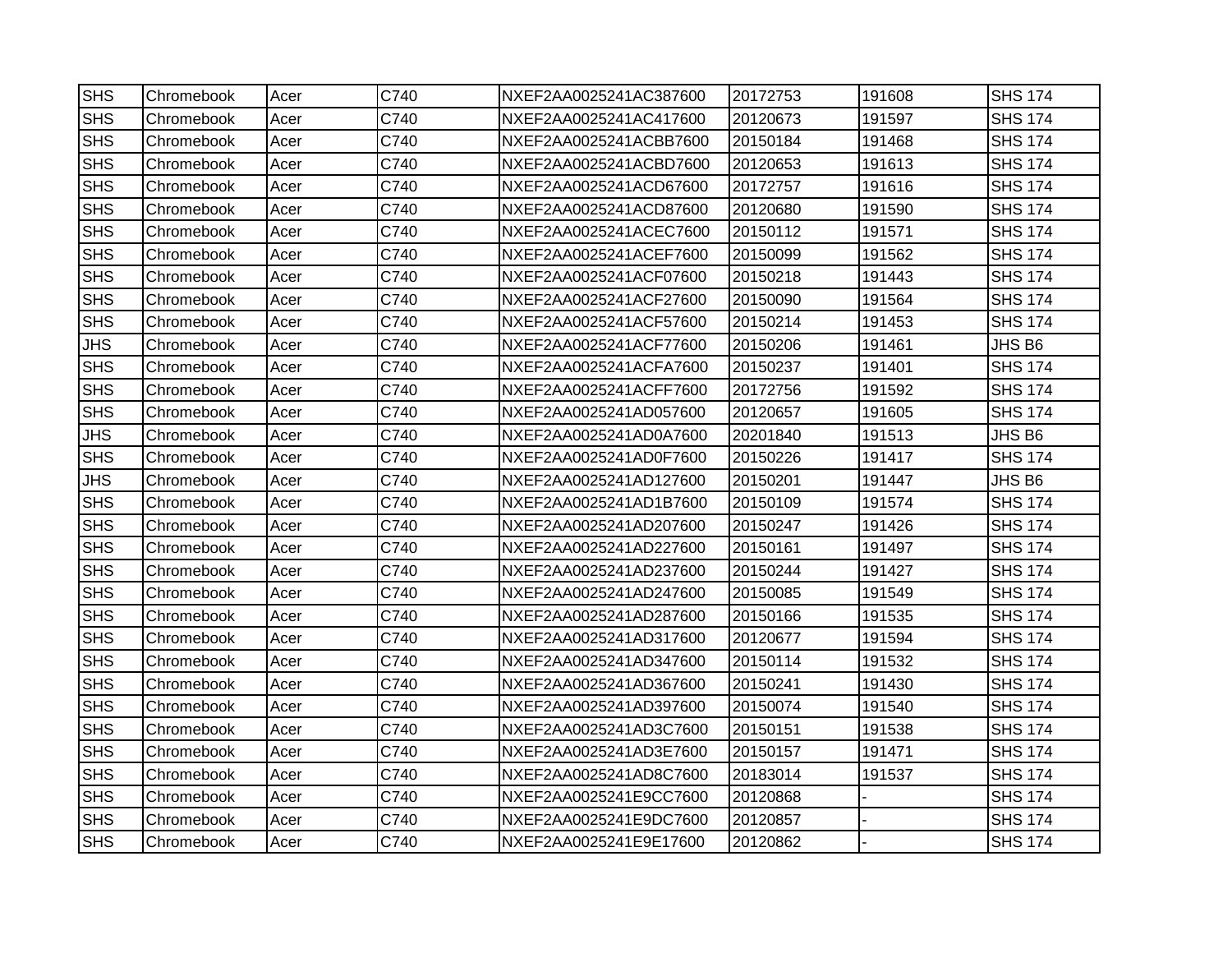| <b>SHS</b> | Chromebook | Acer | C740 | NXEF2AA0025241AC387600 | 20172753 | 191608 | <b>SHS 174</b> |
|------------|------------|------|------|------------------------|----------|--------|----------------|
| <b>SHS</b> | Chromebook | Acer | C740 | NXEF2AA0025241AC417600 | 20120673 | 191597 | <b>SHS 174</b> |
| <b>SHS</b> | Chromebook | Acer | C740 | NXEF2AA0025241ACBB7600 | 20150184 | 191468 | <b>SHS 174</b> |
| <b>SHS</b> | Chromebook | Acer | C740 | NXEF2AA0025241ACBD7600 | 20120653 | 191613 | <b>SHS 174</b> |
| <b>SHS</b> | Chromebook | Acer | C740 | NXEF2AA0025241ACD67600 | 20172757 | 191616 | <b>SHS 174</b> |
| <b>SHS</b> | Chromebook | Acer | C740 | NXEF2AA0025241ACD87600 | 20120680 | 191590 | <b>SHS 174</b> |
| <b>SHS</b> | Chromebook | Acer | C740 | NXEF2AA0025241ACEC7600 | 20150112 | 191571 | <b>SHS 174</b> |
| <b>SHS</b> | Chromebook | Acer | C740 | NXEF2AA0025241ACEF7600 | 20150099 | 191562 | <b>SHS 174</b> |
| <b>SHS</b> | Chromebook | Acer | C740 | NXEF2AA0025241ACF07600 | 20150218 | 191443 | <b>SHS 174</b> |
| <b>SHS</b> | Chromebook | Acer | C740 | NXEF2AA0025241ACF27600 | 20150090 | 191564 | <b>SHS 174</b> |
| <b>SHS</b> | Chromebook | Acer | C740 | NXEF2AA0025241ACF57600 | 20150214 | 191453 | <b>SHS 174</b> |
| <b>JHS</b> | Chromebook | Acer | C740 | NXEF2AA0025241ACF77600 | 20150206 | 191461 | JHS B6         |
| <b>SHS</b> | Chromebook | Acer | C740 | NXEF2AA0025241ACFA7600 | 20150237 | 191401 | <b>SHS 174</b> |
| <b>SHS</b> | Chromebook | Acer | C740 | NXEF2AA0025241ACFF7600 | 20172756 | 191592 | <b>SHS 174</b> |
| <b>SHS</b> | Chromebook | Acer | C740 | NXEF2AA0025241AD057600 | 20120657 | 191605 | <b>SHS 174</b> |
| <b>JHS</b> | Chromebook | Acer | C740 | NXEF2AA0025241AD0A7600 | 20201840 | 191513 | JHS B6         |
| <b>SHS</b> | Chromebook | Acer | C740 | NXEF2AA0025241AD0F7600 | 20150226 | 191417 | <b>SHS 174</b> |
| <b>JHS</b> | Chromebook | Acer | C740 | NXEF2AA0025241AD127600 | 20150201 | 191447 | JHS B6         |
| <b>SHS</b> | Chromebook | Acer | C740 | NXEF2AA0025241AD1B7600 | 20150109 | 191574 | <b>SHS 174</b> |
| <b>SHS</b> | Chromebook | Acer | C740 | NXEF2AA0025241AD207600 | 20150247 | 191426 | <b>SHS 174</b> |
| <b>SHS</b> | Chromebook | Acer | C740 | NXEF2AA0025241AD227600 | 20150161 | 191497 | <b>SHS 174</b> |
| <b>SHS</b> | Chromebook | Acer | C740 | NXEF2AA0025241AD237600 | 20150244 | 191427 | <b>SHS 174</b> |
| <b>SHS</b> | Chromebook | Acer | C740 | NXEF2AA0025241AD247600 | 20150085 | 191549 | <b>SHS 174</b> |
| <b>SHS</b> | Chromebook | Acer | C740 | NXEF2AA0025241AD287600 | 20150166 | 191535 | <b>SHS 174</b> |
| <b>SHS</b> | Chromebook | Acer | C740 | NXEF2AA0025241AD317600 | 20120677 | 191594 | <b>SHS 174</b> |
| <b>SHS</b> | Chromebook | Acer | C740 | NXEF2AA0025241AD347600 | 20150114 | 191532 | <b>SHS 174</b> |
| <b>SHS</b> | Chromebook | Acer | C740 | NXEF2AA0025241AD367600 | 20150241 | 191430 | <b>SHS 174</b> |
| <b>SHS</b> | Chromebook | Acer | C740 | NXEF2AA0025241AD397600 | 20150074 | 191540 | <b>SHS 174</b> |
| <b>SHS</b> | Chromebook | Acer | C740 | NXEF2AA0025241AD3C7600 | 20150151 | 191538 | <b>SHS 174</b> |
| <b>SHS</b> | Chromebook | Acer | C740 | NXEF2AA0025241AD3E7600 | 20150157 | 191471 | <b>SHS 174</b> |
| <b>SHS</b> | Chromebook | Acer | C740 | NXEF2AA0025241AD8C7600 | 20183014 | 191537 | <b>SHS 174</b> |
| <b>SHS</b> | Chromebook | Acer | C740 | NXEF2AA0025241E9CC7600 | 20120868 |        | <b>SHS 174</b> |
| <b>SHS</b> | Chromebook | Acer | C740 | NXEF2AA0025241E9DC7600 | 20120857 |        | <b>SHS 174</b> |
| <b>SHS</b> | Chromebook | Acer | C740 | NXEF2AA0025241E9E17600 | 20120862 |        | <b>SHS 174</b> |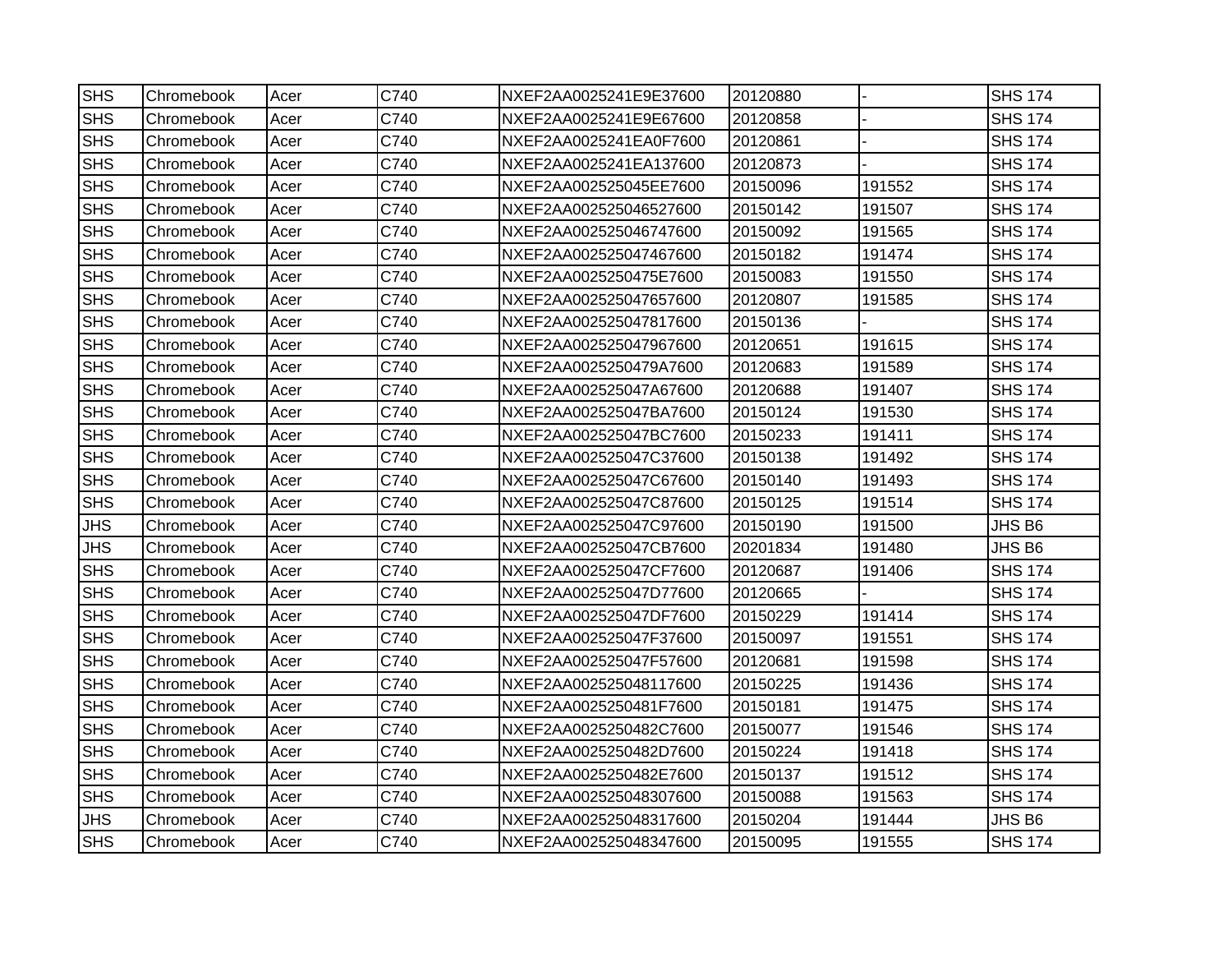| <b>SHS</b> | Chromebook | Acer | C740 | NXEF2AA0025241E9E37600 | 20120880 |        | <b>SHS 174</b> |
|------------|------------|------|------|------------------------|----------|--------|----------------|
| <b>SHS</b> | Chromebook | Acer | C740 | NXEF2AA0025241E9E67600 | 20120858 |        | <b>SHS 174</b> |
| <b>SHS</b> | Chromebook | Acer | C740 | NXEF2AA0025241EA0F7600 | 20120861 |        | <b>SHS 174</b> |
| <b>SHS</b> | Chromebook | Acer | C740 | NXEF2AA0025241EA137600 | 20120873 |        | <b>SHS 174</b> |
| <b>SHS</b> | Chromebook | Acer | C740 | NXEF2AA002525045EE7600 | 20150096 | 191552 | <b>SHS 174</b> |
| <b>SHS</b> | Chromebook | Acer | C740 | NXEF2AA002525046527600 | 20150142 | 191507 | <b>SHS 174</b> |
| <b>SHS</b> | Chromebook | Acer | C740 | NXEF2AA002525046747600 | 20150092 | 191565 | <b>SHS 174</b> |
| <b>SHS</b> | Chromebook | Acer | C740 | NXEF2AA002525047467600 | 20150182 | 191474 | <b>SHS 174</b> |
| <b>SHS</b> | Chromebook | Acer | C740 | NXEF2AA0025250475E7600 | 20150083 | 191550 | <b>SHS 174</b> |
| <b>SHS</b> | Chromebook | Acer | C740 | NXEF2AA002525047657600 | 20120807 | 191585 | <b>SHS 174</b> |
| <b>SHS</b> | Chromebook | Acer | C740 | NXEF2AA002525047817600 | 20150136 |        | <b>SHS 174</b> |
| <b>SHS</b> | Chromebook | Acer | C740 | NXEF2AA002525047967600 | 20120651 | 191615 | <b>SHS 174</b> |
| <b>SHS</b> | Chromebook | Acer | C740 | NXEF2AA0025250479A7600 | 20120683 | 191589 | <b>SHS 174</b> |
| <b>SHS</b> | Chromebook | Acer | C740 | NXEF2AA002525047A67600 | 20120688 | 191407 | <b>SHS 174</b> |
| <b>SHS</b> | Chromebook | Acer | C740 | NXEF2AA002525047BA7600 | 20150124 | 191530 | <b>SHS 174</b> |
| <b>SHS</b> | Chromebook | Acer | C740 | NXEF2AA002525047BC7600 | 20150233 | 191411 | <b>SHS 174</b> |
| <b>SHS</b> | Chromebook | Acer | C740 | NXEF2AA002525047C37600 | 20150138 | 191492 | <b>SHS 174</b> |
| <b>SHS</b> | Chromebook | Acer | C740 | NXEF2AA002525047C67600 | 20150140 | 191493 | <b>SHS 174</b> |
| <b>SHS</b> | Chromebook | Acer | C740 | NXEF2AA002525047C87600 | 20150125 | 191514 | <b>SHS 174</b> |
| <b>JHS</b> | Chromebook | Acer | C740 | NXEF2AA002525047C97600 | 20150190 | 191500 | JHS B6         |
| <b>JHS</b> | Chromebook | Acer | C740 | NXEF2AA002525047CB7600 | 20201834 | 191480 | JHS B6         |
| <b>SHS</b> | Chromebook | Acer | C740 | NXEF2AA002525047CF7600 | 20120687 | 191406 | <b>SHS 174</b> |
| <b>SHS</b> | Chromebook | Acer | C740 | NXEF2AA002525047D77600 | 20120665 |        | <b>SHS 174</b> |
| <b>SHS</b> | Chromebook | Acer | C740 | NXEF2AA002525047DF7600 | 20150229 | 191414 | <b>SHS 174</b> |
| <b>SHS</b> | Chromebook | Acer | C740 | NXEF2AA002525047F37600 | 20150097 | 191551 | <b>SHS 174</b> |
| <b>SHS</b> | Chromebook | Acer | C740 | NXEF2AA002525047F57600 | 20120681 | 191598 | <b>SHS 174</b> |
| <b>SHS</b> | Chromebook | Acer | C740 | NXEF2AA002525048117600 | 20150225 | 191436 | <b>SHS 174</b> |
| <b>SHS</b> | Chromebook | Acer | C740 | NXEF2AA0025250481F7600 | 20150181 | 191475 | <b>SHS 174</b> |
| <b>SHS</b> | Chromebook | Acer | C740 | NXEF2AA0025250482C7600 | 20150077 | 191546 | <b>SHS 174</b> |
| <b>SHS</b> | Chromebook | Acer | C740 | NXEF2AA0025250482D7600 | 20150224 | 191418 | <b>SHS 174</b> |
| <b>SHS</b> | Chromebook | Acer | C740 | NXEF2AA0025250482E7600 | 20150137 | 191512 | <b>SHS 174</b> |
| <b>SHS</b> | Chromebook | Acer | C740 | NXEF2AA002525048307600 | 20150088 | 191563 | <b>SHS 174</b> |
| JHS        | Chromebook | Acer | C740 | NXEF2AA002525048317600 | 20150204 | 191444 | JHS B6         |
| <b>SHS</b> | Chromebook | Acer | C740 | NXEF2AA002525048347600 | 20150095 | 191555 | <b>SHS 174</b> |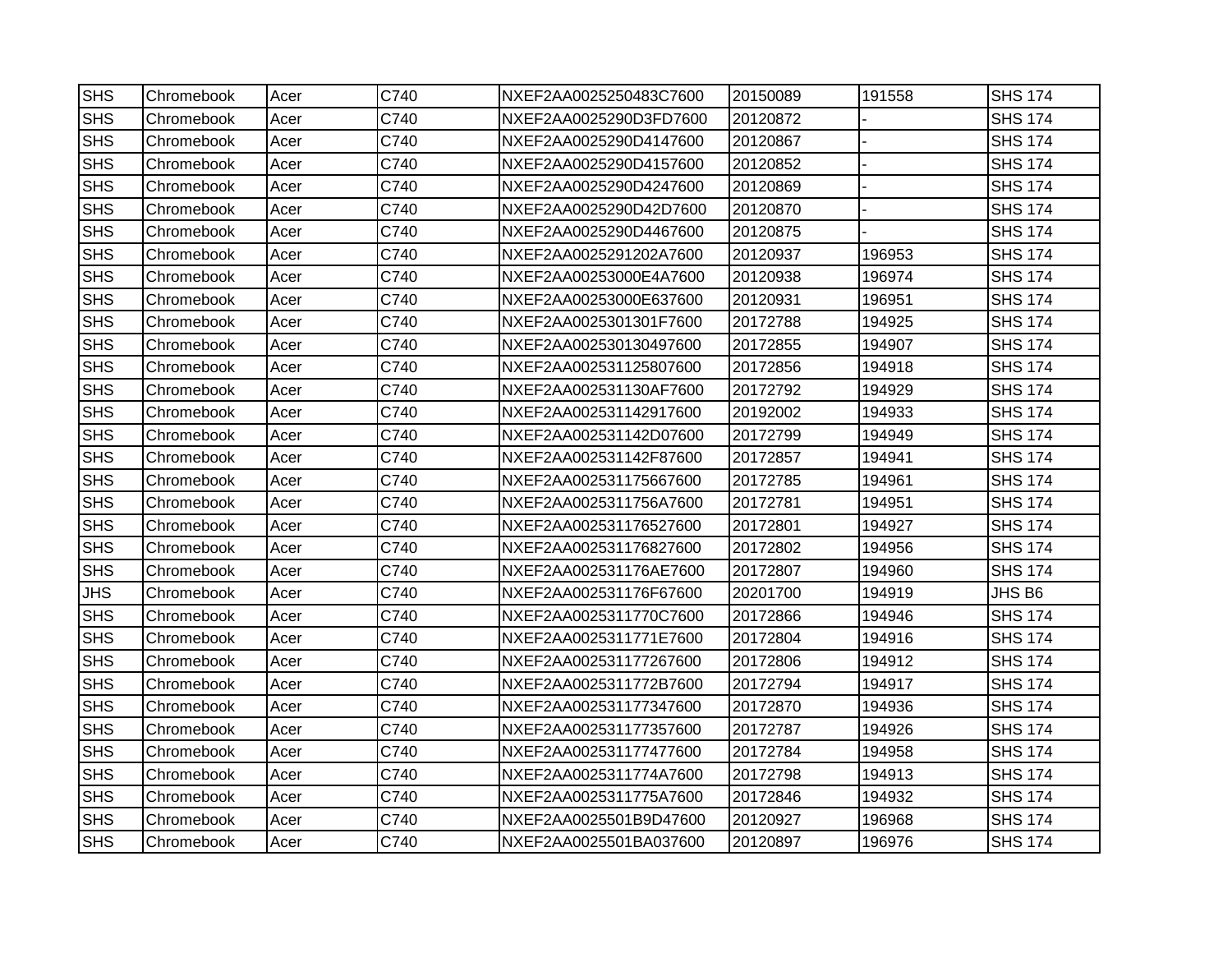| <b>SHS</b> | Chromebook | Acer | C740 | NXEF2AA0025250483C7600 | 20150089 | 191558 | <b>SHS 174</b> |
|------------|------------|------|------|------------------------|----------|--------|----------------|
| <b>SHS</b> | Chromebook | Acer | C740 | NXEF2AA0025290D3FD7600 | 20120872 |        | <b>SHS 174</b> |
| <b>SHS</b> | Chromebook | Acer | C740 | NXEF2AA0025290D4147600 | 20120867 |        | <b>SHS 174</b> |
| <b>SHS</b> | Chromebook | Acer | C740 | NXEF2AA0025290D4157600 | 20120852 |        | <b>SHS 174</b> |
| <b>SHS</b> | Chromebook | Acer | C740 | NXEF2AA0025290D4247600 | 20120869 |        | <b>SHS 174</b> |
| <b>SHS</b> | Chromebook | Acer | C740 | NXEF2AA0025290D42D7600 | 20120870 |        | <b>SHS 174</b> |
| <b>SHS</b> | Chromebook | Acer | C740 | NXEF2AA0025290D4467600 | 20120875 |        | <b>SHS 174</b> |
| <b>SHS</b> | Chromebook | Acer | C740 | NXEF2AA0025291202A7600 | 20120937 | 196953 | <b>SHS 174</b> |
| <b>SHS</b> | Chromebook | Acer | C740 | NXEF2AA00253000E4A7600 | 20120938 | 196974 | <b>SHS 174</b> |
| <b>SHS</b> | Chromebook | Acer | C740 | NXEF2AA00253000E637600 | 20120931 | 196951 | <b>SHS 174</b> |
| <b>SHS</b> | Chromebook | Acer | C740 | NXEF2AA0025301301F7600 | 20172788 | 194925 | <b>SHS 174</b> |
| <b>SHS</b> | Chromebook | Acer | C740 | NXEF2AA002530130497600 | 20172855 | 194907 | <b>SHS 174</b> |
| <b>SHS</b> | Chromebook | Acer | C740 | NXEF2AA002531125807600 | 20172856 | 194918 | <b>SHS 174</b> |
| <b>SHS</b> | Chromebook | Acer | C740 | NXEF2AA002531130AF7600 | 20172792 | 194929 | <b>SHS 174</b> |
| <b>SHS</b> | Chromebook | Acer | C740 | NXEF2AA002531142917600 | 20192002 | 194933 | <b>SHS 174</b> |
| <b>SHS</b> | Chromebook | Acer | C740 | NXEF2AA002531142D07600 | 20172799 | 194949 | <b>SHS 174</b> |
| <b>SHS</b> | Chromebook | Acer | C740 | NXEF2AA002531142F87600 | 20172857 | 194941 | <b>SHS 174</b> |
| <b>SHS</b> | Chromebook | Acer | C740 | NXEF2AA002531175667600 | 20172785 | 194961 | <b>SHS 174</b> |
| <b>SHS</b> | Chromebook | Acer | C740 | NXEF2AA0025311756A7600 | 20172781 | 194951 | <b>SHS 174</b> |
| <b>SHS</b> | Chromebook | Acer | C740 | NXEF2AA002531176527600 | 20172801 | 194927 | <b>SHS 174</b> |
| <b>SHS</b> | Chromebook | Acer | C740 | NXEF2AA002531176827600 | 20172802 | 194956 | <b>SHS 174</b> |
| <b>SHS</b> | Chromebook | Acer | C740 | NXEF2AA002531176AE7600 | 20172807 | 194960 | <b>SHS 174</b> |
| <b>JHS</b> | Chromebook | Acer | C740 | NXEF2AA002531176F67600 | 20201700 | 194919 | JHS B6         |
| <b>SHS</b> | Chromebook | Acer | C740 | NXEF2AA0025311770C7600 | 20172866 | 194946 | <b>SHS 174</b> |
| <b>SHS</b> | Chromebook | Acer | C740 | NXEF2AA0025311771E7600 | 20172804 | 194916 | <b>SHS 174</b> |
| <b>SHS</b> | Chromebook | Acer | C740 | NXEF2AA002531177267600 | 20172806 | 194912 | <b>SHS 174</b> |
| <b>SHS</b> | Chromebook | Acer | C740 | NXEF2AA0025311772B7600 | 20172794 | 194917 | <b>SHS 174</b> |
| <b>SHS</b> | Chromebook | Acer | C740 | NXEF2AA002531177347600 | 20172870 | 194936 | <b>SHS 174</b> |
| <b>SHS</b> | Chromebook | Acer | C740 | NXEF2AA002531177357600 | 20172787 | 194926 | <b>SHS 174</b> |
| <b>SHS</b> | Chromebook | Acer | C740 | NXEF2AA002531177477600 | 20172784 | 194958 | <b>SHS 174</b> |
| <b>SHS</b> | Chromebook | Acer | C740 | NXEF2AA0025311774A7600 | 20172798 | 194913 | <b>SHS 174</b> |
| <b>SHS</b> | Chromebook | Acer | C740 | NXEF2AA0025311775A7600 | 20172846 | 194932 | <b>SHS 174</b> |
| <b>SHS</b> | Chromebook | Acer | C740 | NXEF2AA0025501B9D47600 | 20120927 | 196968 | <b>SHS 174</b> |
| <b>SHS</b> | Chromebook | Acer | C740 | NXEF2AA0025501BA037600 | 20120897 | 196976 | <b>SHS 174</b> |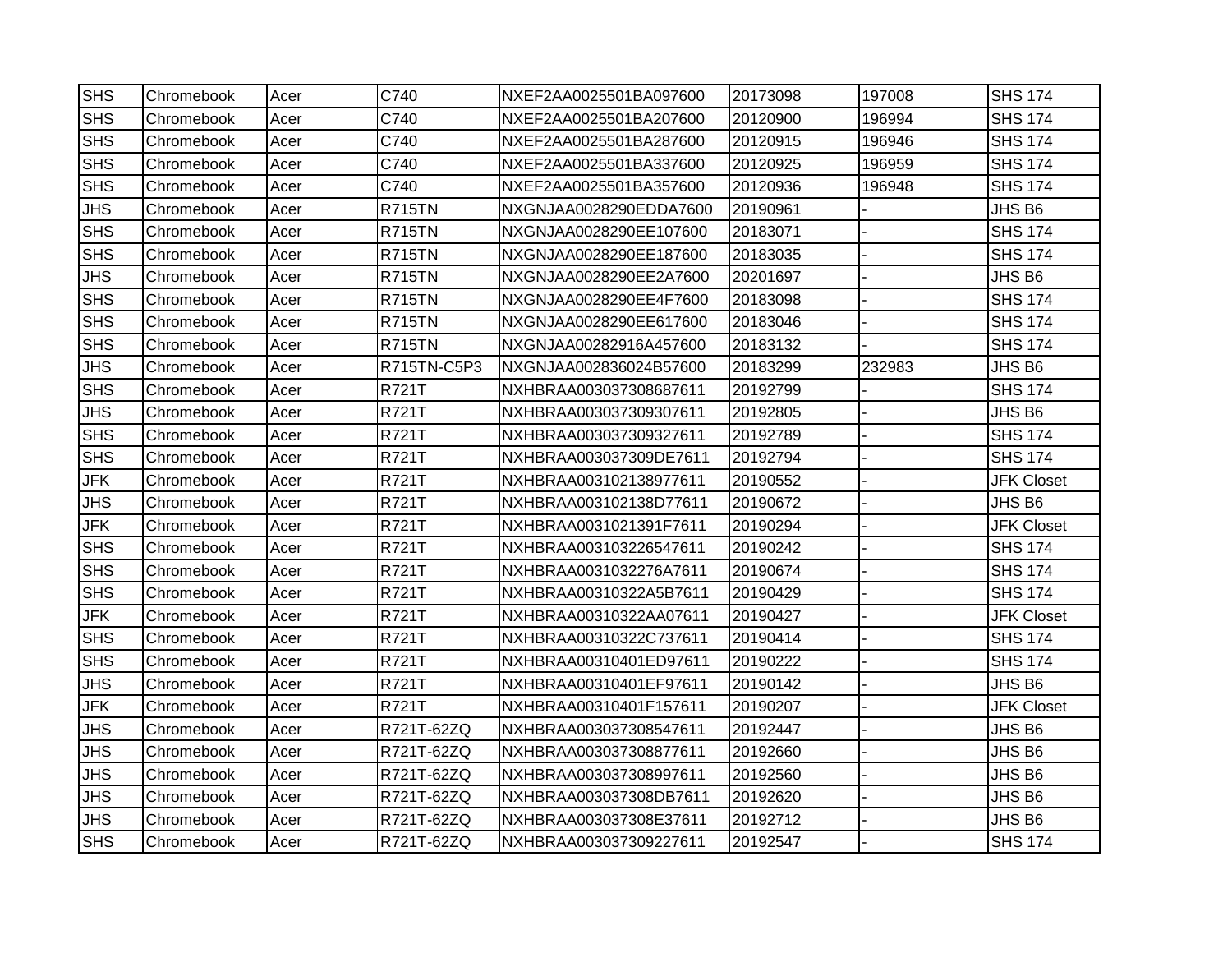| <b>SHS</b> | Chromebook | Acer | C740          | NXEF2AA0025501BA097600 | 20173098 | 197008 | <b>SHS 174</b>    |
|------------|------------|------|---------------|------------------------|----------|--------|-------------------|
| <b>SHS</b> | Chromebook | Acer | C740          | NXEF2AA0025501BA207600 | 20120900 | 196994 | <b>SHS 174</b>    |
| <b>SHS</b> | Chromebook | Acer | C740          | NXEF2AA0025501BA287600 | 20120915 | 196946 | <b>SHS 174</b>    |
| <b>SHS</b> | Chromebook | Acer | C740          | NXEF2AA0025501BA337600 | 20120925 | 196959 | <b>SHS 174</b>    |
| <b>SHS</b> | Chromebook | Acer | C740          | NXEF2AA0025501BA357600 | 20120936 | 196948 | <b>SHS 174</b>    |
| <b>JHS</b> | Chromebook | Acer | <b>R715TN</b> | NXGNJAA0028290EDDA7600 | 20190961 |        | JHS B6            |
| <b>SHS</b> | Chromebook | Acer | <b>R715TN</b> | NXGNJAA0028290EE107600 | 20183071 |        | <b>SHS 174</b>    |
| <b>SHS</b> | Chromebook | Acer | <b>R715TN</b> | NXGNJAA0028290EE187600 | 20183035 |        | <b>SHS 174</b>    |
| <b>JHS</b> | Chromebook | Acer | <b>R715TN</b> | NXGNJAA0028290EE2A7600 | 20201697 |        | JHS B6            |
| <b>SHS</b> | Chromebook | Acer | <b>R715TN</b> | NXGNJAA0028290EE4F7600 | 20183098 |        | <b>SHS 174</b>    |
| <b>SHS</b> | Chromebook | Acer | <b>R715TN</b> | NXGNJAA0028290EE617600 | 20183046 |        | <b>SHS 174</b>    |
| <b>SHS</b> | Chromebook | Acer | <b>R715TN</b> | NXGNJAA00282916A457600 | 20183132 |        | <b>SHS 174</b>    |
| <b>JHS</b> | Chromebook | Acer | R715TN-C5P3   | NXGNJAA002836024B57600 | 20183299 | 232983 | JHS B6            |
| <b>SHS</b> | Chromebook | Acer | R721T         | NXHBRAA003037308687611 | 20192799 |        | <b>SHS 174</b>    |
| <b>JHS</b> | Chromebook | Acer | R721T         | NXHBRAA003037309307611 | 20192805 |        | JHS B6            |
| <b>SHS</b> | Chromebook | Acer | R721T         | NXHBRAA003037309327611 | 20192789 |        | <b>SHS 174</b>    |
| <b>SHS</b> | Chromebook | Acer | R721T         | NXHBRAA003037309DE7611 | 20192794 |        | <b>SHS 174</b>    |
| <b>JFK</b> | Chromebook | Acer | R721T         | NXHBRAA003102138977611 | 20190552 |        | <b>JFK Closet</b> |
| <b>JHS</b> | Chromebook | Acer | R721T         | NXHBRAA003102138D77611 | 20190672 |        | JHS B6            |
| <b>JFK</b> | Chromebook | Acer | R721T         | NXHBRAA0031021391F7611 | 20190294 |        | <b>JFK Closet</b> |
| <b>SHS</b> | Chromebook | Acer | R721T         | NXHBRAA003103226547611 | 20190242 |        | <b>SHS 174</b>    |
| <b>SHS</b> | Chromebook | Acer | R721T         | NXHBRAA0031032276A7611 | 20190674 |        | <b>SHS 174</b>    |
| <b>SHS</b> | Chromebook | Acer | R721T         | NXHBRAA00310322A5B7611 | 20190429 |        | <b>SHS 174</b>    |
| <b>JFK</b> | Chromebook | Acer | R721T         | NXHBRAA00310322AA07611 | 20190427 |        | <b>JFK Closet</b> |
| <b>SHS</b> | Chromebook | Acer | <b>R721T</b>  | NXHBRAA00310322C737611 | 20190414 |        | <b>SHS 174</b>    |
| <b>SHS</b> | Chromebook | Acer | R721T         | NXHBRAA00310401ED97611 | 20190222 |        | <b>SHS 174</b>    |
| <b>JHS</b> | Chromebook | Acer | R721T         | NXHBRAA00310401EF97611 | 20190142 |        | JHS B6            |
| <b>JFK</b> | Chromebook | Acer | R721T         | NXHBRAA00310401F157611 | 20190207 |        | <b>JFK Closet</b> |
| <b>JHS</b> | Chromebook | Acer | R721T-62ZQ    | NXHBRAA003037308547611 | 20192447 |        | JHS B6            |
| <b>JHS</b> | Chromebook | Acer | R721T-62ZQ    | NXHBRAA003037308877611 | 20192660 |        | JHS B6            |
| <b>JHS</b> | Chromebook | Acer | R721T-62ZQ    | NXHBRAA003037308997611 | 20192560 |        | JHS B6            |
| <b>JHS</b> | Chromebook | Acer | R721T-62ZQ    | NXHBRAA003037308DB7611 | 20192620 |        | JHS B6            |
| JHS        | Chromebook | Acer | R721T-62ZQ    | NXHBRAA003037308E37611 | 20192712 |        | JHS B6            |
| <b>SHS</b> | Chromebook | Acer | R721T-62ZQ    | NXHBRAA003037309227611 | 20192547 |        | <b>SHS 174</b>    |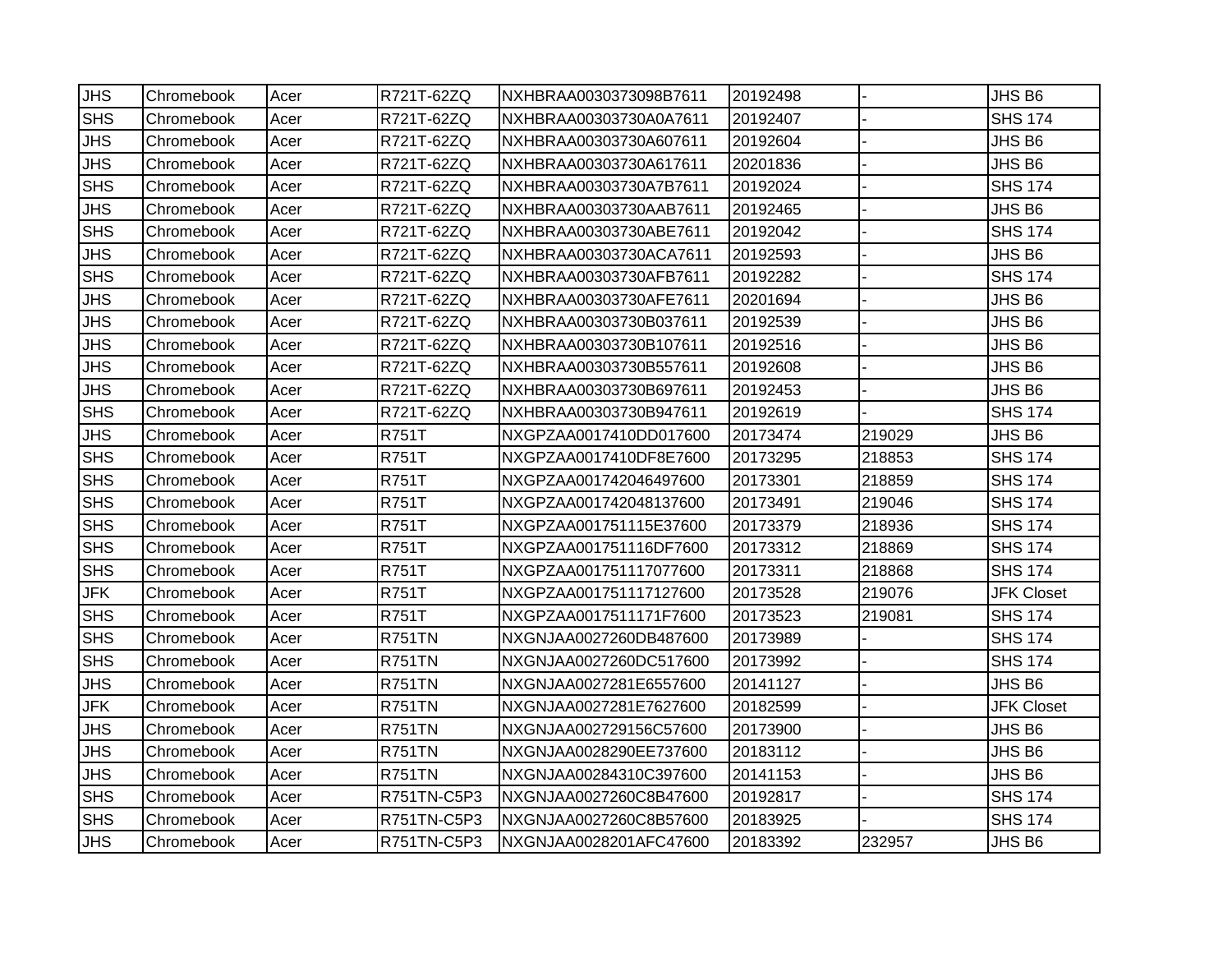| <b>JHS</b> | Chromebook | Acer | R721T-62ZQ    | INXHBRAA0030373098B7611 | 20192498 |        | JHS B6            |
|------------|------------|------|---------------|-------------------------|----------|--------|-------------------|
| <b>SHS</b> | Chromebook | Acer | R721T-62ZQ    | NXHBRAA00303730A0A7611  | 20192407 |        | <b>SHS 174</b>    |
| <b>JHS</b> | Chromebook | Acer | R721T-62ZQ    | NXHBRAA00303730A607611  | 20192604 |        | JHS B6            |
| <b>JHS</b> | Chromebook | Acer | R721T-62ZQ    | NXHBRAA00303730A617611  | 20201836 |        | JHS B6            |
| <b>SHS</b> | Chromebook | Acer | R721T-62ZQ    | NXHBRAA00303730A7B7611  | 20192024 |        | <b>SHS 174</b>    |
| <b>JHS</b> | Chromebook | Acer | R721T-62ZQ    | NXHBRAA00303730AAB7611  | 20192465 |        | JHS B6            |
| <b>SHS</b> | Chromebook | Acer | R721T-62ZQ    | NXHBRAA00303730ABE7611  | 20192042 |        | <b>SHS 174</b>    |
| <b>JHS</b> | Chromebook | Acer | R721T-62ZQ    | NXHBRAA00303730ACA7611  | 20192593 |        | JHS B6            |
| <b>SHS</b> | Chromebook | Acer | R721T-62ZQ    | NXHBRAA00303730AFB7611  | 20192282 |        | <b>SHS 174</b>    |
| <b>JHS</b> | Chromebook | Acer | R721T-62ZQ    | NXHBRAA00303730AFE7611  | 20201694 |        | JHS B6            |
| <b>JHS</b> | Chromebook | Acer | R721T-62ZQ    | NXHBRAA00303730B037611  | 20192539 |        | JHS B6            |
| <b>JHS</b> | Chromebook | Acer | R721T-62ZQ    | NXHBRAA00303730B107611  | 20192516 |        | JHS B6            |
| <b>JHS</b> | Chromebook | Acer | R721T-62ZQ    | NXHBRAA00303730B557611  | 20192608 |        | JHS B6            |
| <b>JHS</b> | Chromebook | Acer | R721T-62ZQ    | NXHBRAA00303730B697611  | 20192453 |        | JHS B6            |
| <b>SHS</b> | Chromebook | Acer | R721T-62ZQ    | NXHBRAA00303730B947611  | 20192619 |        | <b>SHS 174</b>    |
| <b>JHS</b> | Chromebook | Acer | <b>R751T</b>  | NXGPZAA0017410DD017600  | 20173474 | 219029 | JHS B6            |
| <b>SHS</b> | Chromebook | Acer | <b>R751T</b>  | NXGPZAA0017410DF8E7600  | 20173295 | 218853 | <b>SHS 174</b>    |
| <b>SHS</b> | Chromebook | Acer | R751T         | NXGPZAA001742046497600  | 20173301 | 218859 | <b>SHS 174</b>    |
| <b>SHS</b> | Chromebook | Acer | <b>R751T</b>  | NXGPZAA001742048137600  | 20173491 | 219046 | <b>SHS 174</b>    |
| <b>SHS</b> | Chromebook | Acer | <b>R751T</b>  | NXGPZAA001751115E37600  | 20173379 | 218936 | <b>SHS 174</b>    |
| <b>SHS</b> | Chromebook | Acer | <b>R751T</b>  | NXGPZAA001751116DF7600  | 20173312 | 218869 | <b>SHS 174</b>    |
| <b>SHS</b> | Chromebook | Acer | <b>R751T</b>  | NXGPZAA001751117077600  | 20173311 | 218868 | <b>SHS 174</b>    |
| <b>JFK</b> | Chromebook | Acer | <b>R751T</b>  | NXGPZAA001751117127600  | 20173528 | 219076 | <b>JFK Closet</b> |
| <b>SHS</b> | Chromebook | Acer | <b>R751T</b>  | NXGPZAA0017511171F7600  | 20173523 | 219081 | <b>SHS 174</b>    |
| <b>SHS</b> | Chromebook | Acer | <b>R751TN</b> | NXGNJAA0027260DB487600  | 20173989 |        | <b>SHS 174</b>    |
| <b>SHS</b> | Chromebook | Acer | <b>R751TN</b> | NXGNJAA0027260DC517600  | 20173992 |        | <b>SHS 174</b>    |
| <b>JHS</b> | Chromebook | Acer | <b>R751TN</b> | NXGNJAA0027281E6557600  | 20141127 |        | JHS B6            |
| <b>JFK</b> | Chromebook | Acer | <b>R751TN</b> | NXGNJAA0027281E7627600  | 20182599 |        | <b>JFK Closet</b> |
| <b>JHS</b> | Chromebook | Acer | <b>R751TN</b> | NXGNJAA002729156C57600  | 20173900 |        | JHS B6            |
| <b>JHS</b> | Chromebook | Acer | <b>R751TN</b> | NXGNJAA0028290EE737600  | 20183112 |        | JHS B6            |
| <b>JHS</b> | Chromebook | Acer | <b>R751TN</b> | NXGNJAA00284310C397600  | 20141153 |        | JHS B6            |
| <b>SHS</b> | Chromebook | Acer | R751TN-C5P3   | NXGNJAA0027260C8B47600  | 20192817 |        | <b>SHS 174</b>    |
| <b>SHS</b> | Chromebook | Acer | R751TN-C5P3   | NXGNJAA0027260C8B57600  | 20183925 |        | <b>SHS 174</b>    |
| <b>JHS</b> | Chromebook | Acer | R751TN-C5P3   | NXGNJAA0028201AFC47600  | 20183392 | 232957 | JHS B6            |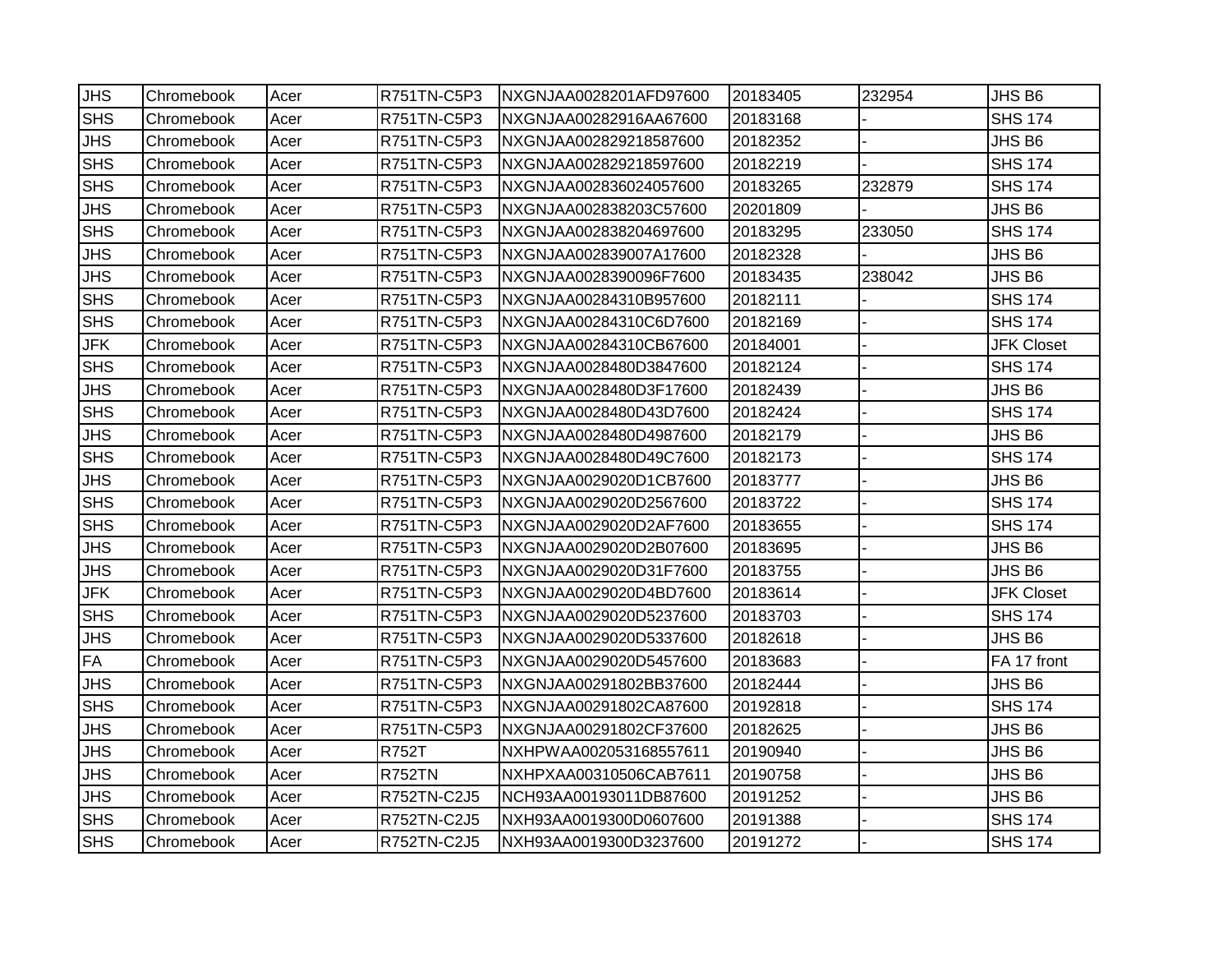|            |                                                                                                                                                                                                                                                                                                    |                                                                                                                                                      |                                                                                                                                                                                                                                                                                                                                                          |                                                                                                                                                                                                                                                                                                                                                                                                                                                                                                                                       |                                                                                                                                                                                                                                                                                  | JHS B6                               |
|------------|----------------------------------------------------------------------------------------------------------------------------------------------------------------------------------------------------------------------------------------------------------------------------------------------------|------------------------------------------------------------------------------------------------------------------------------------------------------|----------------------------------------------------------------------------------------------------------------------------------------------------------------------------------------------------------------------------------------------------------------------------------------------------------------------------------------------------------|---------------------------------------------------------------------------------------------------------------------------------------------------------------------------------------------------------------------------------------------------------------------------------------------------------------------------------------------------------------------------------------------------------------------------------------------------------------------------------------------------------------------------------------|----------------------------------------------------------------------------------------------------------------------------------------------------------------------------------------------------------------------------------------------------------------------------------|--------------------------------------|
|            |                                                                                                                                                                                                                                                                                                    |                                                                                                                                                      |                                                                                                                                                                                                                                                                                                                                                          |                                                                                                                                                                                                                                                                                                                                                                                                                                                                                                                                       |                                                                                                                                                                                                                                                                                  | <b>SHS 174</b>                       |
|            |                                                                                                                                                                                                                                                                                                    |                                                                                                                                                      |                                                                                                                                                                                                                                                                                                                                                          |                                                                                                                                                                                                                                                                                                                                                                                                                                                                                                                                       |                                                                                                                                                                                                                                                                                  | JHS B6                               |
|            |                                                                                                                                                                                                                                                                                                    |                                                                                                                                                      |                                                                                                                                                                                                                                                                                                                                                          |                                                                                                                                                                                                                                                                                                                                                                                                                                                                                                                                       |                                                                                                                                                                                                                                                                                  |                                      |
|            |                                                                                                                                                                                                                                                                                                    |                                                                                                                                                      |                                                                                                                                                                                                                                                                                                                                                          |                                                                                                                                                                                                                                                                                                                                                                                                                                                                                                                                       |                                                                                                                                                                                                                                                                                  | <b>SHS 174</b>                       |
|            |                                                                                                                                                                                                                                                                                                    |                                                                                                                                                      |                                                                                                                                                                                                                                                                                                                                                          |                                                                                                                                                                                                                                                                                                                                                                                                                                                                                                                                       |                                                                                                                                                                                                                                                                                  | <b>SHS 174</b>                       |
|            |                                                                                                                                                                                                                                                                                                    |                                                                                                                                                      |                                                                                                                                                                                                                                                                                                                                                          |                                                                                                                                                                                                                                                                                                                                                                                                                                                                                                                                       |                                                                                                                                                                                                                                                                                  | JHS B6                               |
|            |                                                                                                                                                                                                                                                                                                    |                                                                                                                                                      |                                                                                                                                                                                                                                                                                                                                                          |                                                                                                                                                                                                                                                                                                                                                                                                                                                                                                                                       |                                                                                                                                                                                                                                                                                  | <b>SHS 174</b>                       |
|            |                                                                                                                                                                                                                                                                                                    |                                                                                                                                                      |                                                                                                                                                                                                                                                                                                                                                          |                                                                                                                                                                                                                                                                                                                                                                                                                                                                                                                                       |                                                                                                                                                                                                                                                                                  | JHS B6                               |
|            |                                                                                                                                                                                                                                                                                                    |                                                                                                                                                      |                                                                                                                                                                                                                                                                                                                                                          |                                                                                                                                                                                                                                                                                                                                                                                                                                                                                                                                       |                                                                                                                                                                                                                                                                                  | JHS B6                               |
| Chromebook | Acer                                                                                                                                                                                                                                                                                               |                                                                                                                                                      |                                                                                                                                                                                                                                                                                                                                                          |                                                                                                                                                                                                                                                                                                                                                                                                                                                                                                                                       |                                                                                                                                                                                                                                                                                  | <b>SHS 174</b>                       |
| Chromebook | Acer                                                                                                                                                                                                                                                                                               | R751TN-C5P3                                                                                                                                          | NXGNJAA00284310C6D7600                                                                                                                                                                                                                                                                                                                                   | 20182169                                                                                                                                                                                                                                                                                                                                                                                                                                                                                                                              |                                                                                                                                                                                                                                                                                  | <b>SHS 174</b>                       |
| Chromebook | Acer                                                                                                                                                                                                                                                                                               | R751TN-C5P3                                                                                                                                          | NXGNJAA00284310CB67600                                                                                                                                                                                                                                                                                                                                   | 20184001                                                                                                                                                                                                                                                                                                                                                                                                                                                                                                                              |                                                                                                                                                                                                                                                                                  | <b>JFK Closet</b>                    |
| Chromebook | Acer                                                                                                                                                                                                                                                                                               | R751TN-C5P3                                                                                                                                          | NXGNJAA0028480D3847600                                                                                                                                                                                                                                                                                                                                   | 20182124                                                                                                                                                                                                                                                                                                                                                                                                                                                                                                                              |                                                                                                                                                                                                                                                                                  | <b>SHS 174</b>                       |
| Chromebook | Acer                                                                                                                                                                                                                                                                                               | R751TN-C5P3                                                                                                                                          | NXGNJAA0028480D3F17600                                                                                                                                                                                                                                                                                                                                   | 20182439                                                                                                                                                                                                                                                                                                                                                                                                                                                                                                                              |                                                                                                                                                                                                                                                                                  | JHS B6                               |
| Chromebook | Acer                                                                                                                                                                                                                                                                                               | R751TN-C5P3                                                                                                                                          | NXGNJAA0028480D43D7600                                                                                                                                                                                                                                                                                                                                   | 20182424                                                                                                                                                                                                                                                                                                                                                                                                                                                                                                                              |                                                                                                                                                                                                                                                                                  | <b>SHS 174</b>                       |
| Chromebook | Acer                                                                                                                                                                                                                                                                                               | R751TN-C5P3                                                                                                                                          | NXGNJAA0028480D4987600                                                                                                                                                                                                                                                                                                                                   | 20182179                                                                                                                                                                                                                                                                                                                                                                                                                                                                                                                              |                                                                                                                                                                                                                                                                                  | JHS B6                               |
| Chromebook | Acer                                                                                                                                                                                                                                                                                               | R751TN-C5P3                                                                                                                                          | NXGNJAA0028480D49C7600                                                                                                                                                                                                                                                                                                                                   | 20182173                                                                                                                                                                                                                                                                                                                                                                                                                                                                                                                              |                                                                                                                                                                                                                                                                                  | <b>SHS 174</b>                       |
| Chromebook | Acer                                                                                                                                                                                                                                                                                               | R751TN-C5P3                                                                                                                                          | NXGNJAA0029020D1CB7600                                                                                                                                                                                                                                                                                                                                   | 20183777                                                                                                                                                                                                                                                                                                                                                                                                                                                                                                                              |                                                                                                                                                                                                                                                                                  | JHS B6                               |
| Chromebook | Acer                                                                                                                                                                                                                                                                                               | R751TN-C5P3                                                                                                                                          | NXGNJAA0029020D2567600                                                                                                                                                                                                                                                                                                                                   | 20183722                                                                                                                                                                                                                                                                                                                                                                                                                                                                                                                              |                                                                                                                                                                                                                                                                                  | <b>SHS 174</b>                       |
| Chromebook | Acer                                                                                                                                                                                                                                                                                               | R751TN-C5P3                                                                                                                                          | NXGNJAA0029020D2AF7600                                                                                                                                                                                                                                                                                                                                   | 20183655                                                                                                                                                                                                                                                                                                                                                                                                                                                                                                                              |                                                                                                                                                                                                                                                                                  | <b>SHS 174</b>                       |
|            | Acer                                                                                                                                                                                                                                                                                               |                                                                                                                                                      | NXGNJAA0029020D2B07600                                                                                                                                                                                                                                                                                                                                   |                                                                                                                                                                                                                                                                                                                                                                                                                                                                                                                                       |                                                                                                                                                                                                                                                                                  | JHS B6                               |
|            |                                                                                                                                                                                                                                                                                                    |                                                                                                                                                      |                                                                                                                                                                                                                                                                                                                                                          |                                                                                                                                                                                                                                                                                                                                                                                                                                                                                                                                       |                                                                                                                                                                                                                                                                                  | JHS B6                               |
| Chromebook | Acer                                                                                                                                                                                                                                                                                               |                                                                                                                                                      |                                                                                                                                                                                                                                                                                                                                                          |                                                                                                                                                                                                                                                                                                                                                                                                                                                                                                                                       |                                                                                                                                                                                                                                                                                  | <b>JFK Closet</b>                    |
|            |                                                                                                                                                                                                                                                                                                    |                                                                                                                                                      | NXGNJAA0029020D5237600                                                                                                                                                                                                                                                                                                                                   |                                                                                                                                                                                                                                                                                                                                                                                                                                                                                                                                       |                                                                                                                                                                                                                                                                                  | <b>SHS 174</b>                       |
|            | Acer                                                                                                                                                                                                                                                                                               |                                                                                                                                                      | NXGNJAA0029020D5337600                                                                                                                                                                                                                                                                                                                                   |                                                                                                                                                                                                                                                                                                                                                                                                                                                                                                                                       |                                                                                                                                                                                                                                                                                  | JHS B6                               |
|            |                                                                                                                                                                                                                                                                                                    |                                                                                                                                                      |                                                                                                                                                                                                                                                                                                                                                          |                                                                                                                                                                                                                                                                                                                                                                                                                                                                                                                                       |                                                                                                                                                                                                                                                                                  | FA 17 front                          |
|            |                                                                                                                                                                                                                                                                                                    |                                                                                                                                                      |                                                                                                                                                                                                                                                                                                                                                          |                                                                                                                                                                                                                                                                                                                                                                                                                                                                                                                                       |                                                                                                                                                                                                                                                                                  | JHS B6                               |
|            |                                                                                                                                                                                                                                                                                                    |                                                                                                                                                      |                                                                                                                                                                                                                                                                                                                                                          |                                                                                                                                                                                                                                                                                                                                                                                                                                                                                                                                       |                                                                                                                                                                                                                                                                                  | <b>SHS 174</b>                       |
|            |                                                                                                                                                                                                                                                                                                    |                                                                                                                                                      |                                                                                                                                                                                                                                                                                                                                                          |                                                                                                                                                                                                                                                                                                                                                                                                                                                                                                                                       |                                                                                                                                                                                                                                                                                  | JHS B6                               |
|            |                                                                                                                                                                                                                                                                                                    |                                                                                                                                                      |                                                                                                                                                                                                                                                                                                                                                          |                                                                                                                                                                                                                                                                                                                                                                                                                                                                                                                                       |                                                                                                                                                                                                                                                                                  | JHS B6                               |
|            |                                                                                                                                                                                                                                                                                                    |                                                                                                                                                      |                                                                                                                                                                                                                                                                                                                                                          |                                                                                                                                                                                                                                                                                                                                                                                                                                                                                                                                       |                                                                                                                                                                                                                                                                                  | JHS B6                               |
|            |                                                                                                                                                                                                                                                                                                    |                                                                                                                                                      |                                                                                                                                                                                                                                                                                                                                                          |                                                                                                                                                                                                                                                                                                                                                                                                                                                                                                                                       |                                                                                                                                                                                                                                                                                  | JHS B6                               |
|            |                                                                                                                                                                                                                                                                                                    |                                                                                                                                                      |                                                                                                                                                                                                                                                                                                                                                          |                                                                                                                                                                                                                                                                                                                                                                                                                                                                                                                                       |                                                                                                                                                                                                                                                                                  | <b>SHS 174</b>                       |
| Chromebook | Acer                                                                                                                                                                                                                                                                                               | R752TN-C2J5                                                                                                                                          | NXH93AA0019300D3237600                                                                                                                                                                                                                                                                                                                                   | 20191272                                                                                                                                                                                                                                                                                                                                                                                                                                                                                                                              |                                                                                                                                                                                                                                                                                  | <b>SHS 174</b>                       |
|            | Chromebook<br>Chromebook<br>Chromebook<br>Chromebook<br>Chromebook<br>Chromebook<br>Chromebook<br>Chromebook<br>Chromebook<br>Chromebook<br>Chromebook<br>Chromebook<br>Chromebook<br>Chromebook<br>Chromebook<br>Chromebook<br>Chromebook<br>Chromebook<br>Chromebook<br>Chromebook<br>Chromebook | Acer<br>Acer<br>Acer<br>Acer<br>Acer<br>Acer<br>Acer<br>Acer<br>Acer<br>Acer<br>Acer<br>Acer<br>Acer<br>Acer<br>Acer<br>Acer<br>Acer<br>Acer<br>Acer | R751TN-C5P3<br>R751TN-C5P3<br>R751TN-C5P3<br>R751TN-C5P3<br>R751TN-C5P3<br>R751TN-C5P3<br>R751TN-C5P3<br>R751TN-C5P3<br>R751TN-C5P3<br>R751TN-C5P3<br>R751TN-C5P3<br>R751TN-C5P3<br>R751TN-C5P3<br>R751TN-C5P3<br>R751TN-C5P3<br>R751TN-C5P3<br>R751TN-C5P3<br>R751TN-C5P3<br>R751TN-C5P3<br><b>R752T</b><br><b>R752TN</b><br>R752TN-C2J5<br>R752TN-C2J5 | INXGNJAA0028201AFD97600<br>NXGNJAA00282916AA67600<br>NXGNJAA002829218587600<br>NXGNJAA002829218597600<br>NXGNJAA002836024057600<br>NXGNJAA002838203C57600<br>NXGNJAA002838204697600<br>NXGNJAA002839007A17600<br>NXGNJAA0028390096F7600<br>NXGNJAA00284310B957600<br>NXGNJAA0029020D31F7600<br>NXGNJAA0029020D4BD7600<br>NXGNJAA0029020D5457600<br>NXGNJAA00291802BB37600<br>NXGNJAA00291802CA87600<br>NXGNJAA00291802CF37600<br>NXHPWAA002053168557611<br>NXHPXAA00310506CAB7611<br>NCH93AA00193011DB87600<br>NXH93AA0019300D0607600 | 20183405<br>20183168<br>20182352<br>20182219<br>20183265<br>20201809<br>20183295<br>20182328<br>20183435<br>20182111<br>20183695<br>20183755<br>20183614<br>20183703<br>20182618<br>20183683<br>20182444<br>20192818<br>20182625<br>20190940<br>20190758<br>20191252<br>20191388 | 232954<br>232879<br>233050<br>238042 |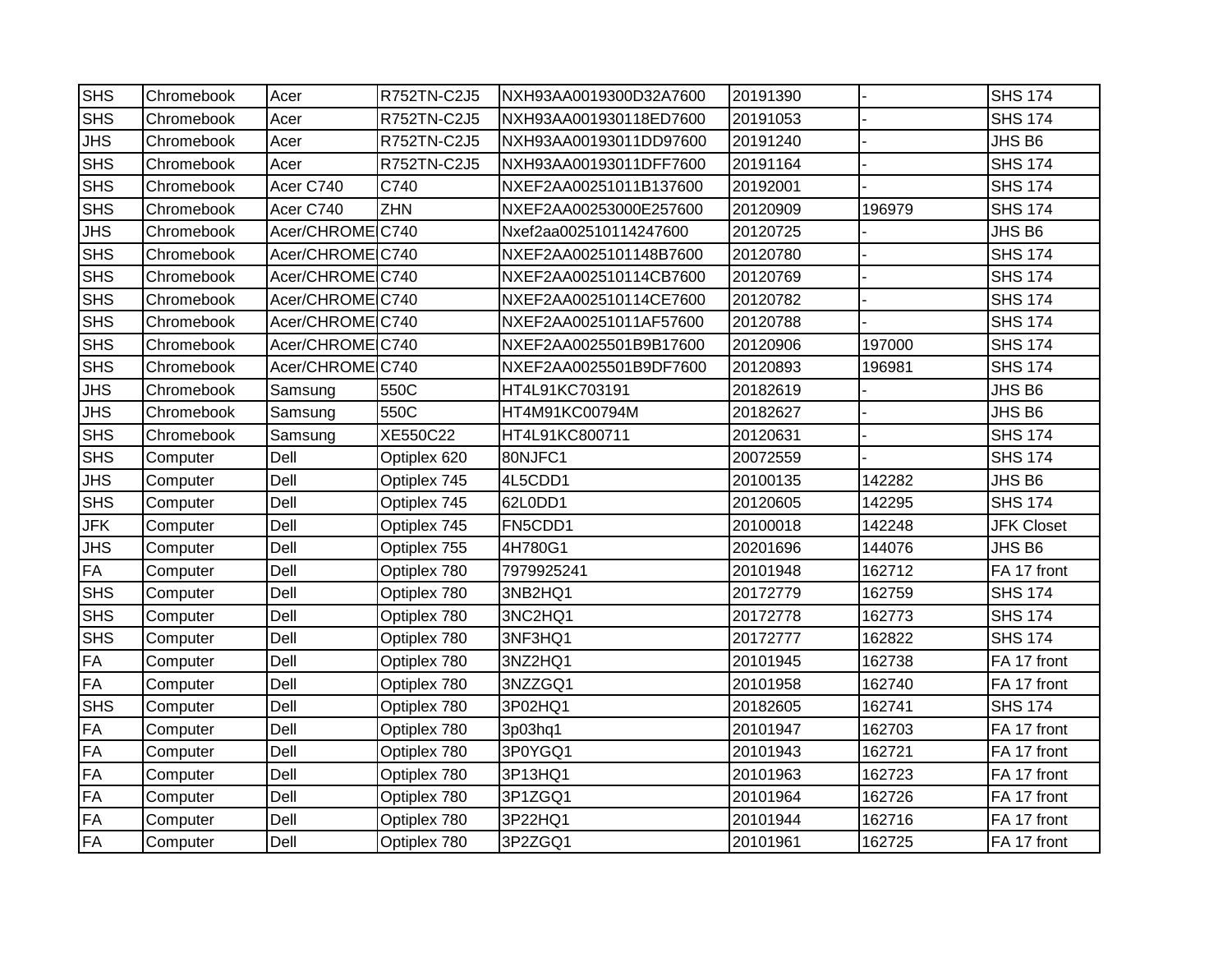| <b>SHS</b> | Chromebook | Acer             | R752TN-C2J5  | NXH93AA0019300D32A7600 | 20191390 |        | <b>SHS 174</b>    |
|------------|------------|------------------|--------------|------------------------|----------|--------|-------------------|
| <b>SHS</b> | Chromebook | Acer             | R752TN-C2J5  | NXH93AA001930118ED7600 | 20191053 |        | <b>SHS 174</b>    |
| <b>JHS</b> | Chromebook | Acer             | R752TN-C2J5  | NXH93AA00193011DD97600 | 20191240 |        | JHS B6            |
| <b>SHS</b> | Chromebook | Acer             | R752TN-C2J5  | NXH93AA00193011DFF7600 | 20191164 |        | <b>SHS 174</b>    |
| <b>SHS</b> | Chromebook | Acer C740        | C740         | NXEF2AA00251011B137600 | 20192001 |        | <b>SHS 174</b>    |
| <b>SHS</b> | Chromebook | Acer C740        | <b>ZHN</b>   | NXEF2AA00253000E257600 | 20120909 | 196979 | <b>SHS 174</b>    |
| <b>JHS</b> | Chromebook | Acer/CHROMEC740  |              | Nxef2aa002510114247600 | 20120725 |        | JHS B6            |
| <b>SHS</b> | Chromebook | Acer/CHROME C740 |              | NXEF2AA0025101148B7600 | 20120780 |        | <b>SHS 174</b>    |
| <b>SHS</b> | Chromebook | Acer/CHROME C740 |              | NXEF2AA002510114CB7600 | 20120769 |        | <b>SHS 174</b>    |
| <b>SHS</b> | Chromebook | Acer/CHROMEC740  |              | NXEF2AA002510114CE7600 | 20120782 |        | <b>SHS 174</b>    |
| <b>SHS</b> | Chromebook | Acer/CHROME C740 |              | NXEF2AA00251011AF57600 | 20120788 |        | <b>SHS 174</b>    |
| <b>SHS</b> | Chromebook | Acer/CHROME C740 |              | NXEF2AA0025501B9B17600 | 20120906 | 197000 | <b>SHS 174</b>    |
| <b>SHS</b> | Chromebook | Acer/CHROME C740 |              | NXEF2AA0025501B9DF7600 | 20120893 | 196981 | <b>SHS 174</b>    |
| <b>JHS</b> | Chromebook | Samsung          | 550C         | HT4L91KC703191         | 20182619 |        | JHS B6            |
| <b>JHS</b> | Chromebook | Samsung          | 550C         | HT4M91KC00794M         | 20182627 |        | JHS B6            |
| <b>SHS</b> | Chromebook | Samsung          | XE550C22     | HT4L91KC800711         | 20120631 |        | <b>SHS 174</b>    |
| <b>SHS</b> | Computer   | Dell             | Optiplex 620 | 80NJFC1                | 20072559 |        | <b>SHS 174</b>    |
| <b>JHS</b> | Computer   | Dell             | Optiplex 745 | 4L5CDD1                | 20100135 | 142282 | JHS B6            |
| <b>SHS</b> | Computer   | Dell             | Optiplex 745 | 62L0DD1                | 20120605 | 142295 | <b>SHS 174</b>    |
| <b>JFK</b> | Computer   | Dell             | Optiplex 745 | FN5CDD1                | 20100018 | 142248 | <b>JFK Closet</b> |
| <b>JHS</b> | Computer   | Dell             | Optiplex 755 | 4H780G1                | 20201696 | 144076 | JHS B6            |
| <b>FA</b>  | Computer   | Dell             | Optiplex 780 | 7979925241             | 20101948 | 162712 | FA 17 front       |
| <b>SHS</b> | Computer   | Dell             | Optiplex 780 | 3NB2HQ1                | 20172779 | 162759 | <b>SHS 174</b>    |
| <b>SHS</b> | Computer   | Dell             | Optiplex 780 | 3NC2HQ1                | 20172778 | 162773 | <b>SHS 174</b>    |
| <b>SHS</b> | Computer   | Dell             | Optiplex 780 | 3NF3HQ1                | 20172777 | 162822 | <b>SHS 174</b>    |
| FA         | Computer   | Dell             | Optiplex 780 | 3NZ2HQ1                | 20101945 | 162738 | FA 17 front       |
| <b>FA</b>  | Computer   | Dell             | Optiplex 780 | 3NZZGQ1                | 20101958 | 162740 | FA 17 front       |
| <b>SHS</b> | Computer   | Dell             | Optiplex 780 | 3P02HQ1                | 20182605 | 162741 | <b>SHS 174</b>    |
| <b>FA</b>  | Computer   | Dell             | Optiplex 780 | 3p03hq1                | 20101947 | 162703 | FA 17 front       |
| <b>FA</b>  | Computer   | Dell             | Optiplex 780 | 3P0YGQ1                | 20101943 | 162721 | FA 17 front       |
| <b>FA</b>  | Computer   | Dell             | Optiplex 780 | 3P13HQ1                | 20101963 | 162723 | FA 17 front       |
| <b>FA</b>  | Computer   | Dell             | Optiplex 780 | 3P1ZGQ1                | 20101964 | 162726 | FA 17 front       |
| <b>FA</b>  | Computer   | Dell             | Optiplex 780 | 3P22HQ1                | 20101944 | 162716 | FA 17 front       |
| FA         | Computer   | Dell             | Optiplex 780 | 3P2ZGQ1                | 20101961 | 162725 | FA 17 front       |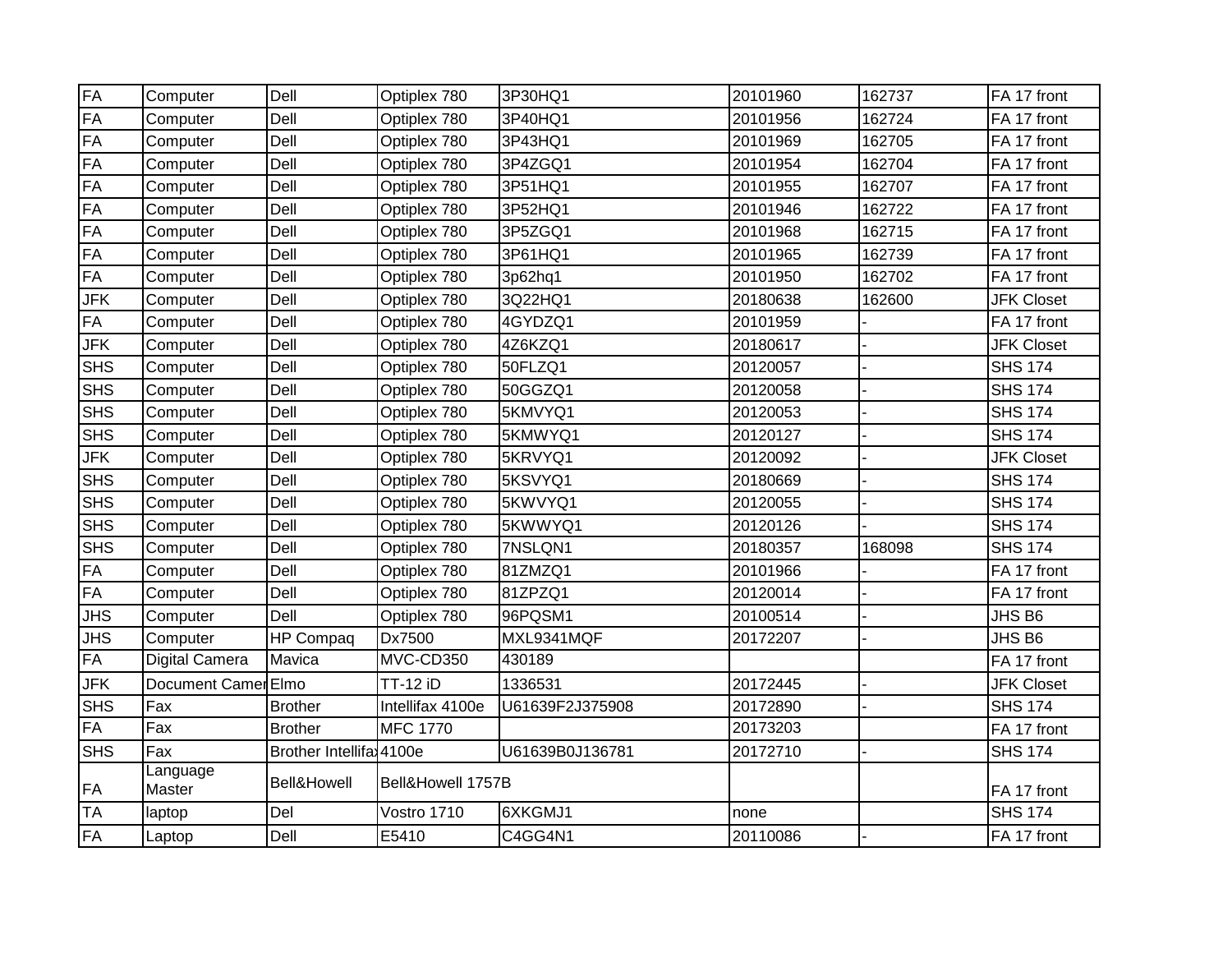| FA         | Computer              | Dell                     | Optiplex 780      | 3P30HQ1         | 20101960 | 162737 | FA 17 front       |
|------------|-----------------------|--------------------------|-------------------|-----------------|----------|--------|-------------------|
| FA         | Computer              | Dell                     | Optiplex 780      | 3P40HQ1         | 20101956 | 162724 | FA 17 front       |
| FA         | Computer              | Dell                     | Optiplex 780      | 3P43HQ1         | 20101969 | 162705 | FA 17 front       |
| FA         | Computer              | Dell                     | Optiplex 780      | 3P4ZGQ1         | 20101954 | 162704 | FA 17 front       |
| FA         | Computer              | Dell                     | Optiplex 780      | 3P51HQ1         | 20101955 | 162707 | FA 17 front       |
| FA         | Computer              | Dell                     | Optiplex 780      | 3P52HQ1         | 20101946 | 162722 | FA 17 front       |
| FA         | Computer              | Dell                     | Optiplex 780      | 3P5ZGQ1         | 20101968 | 162715 | FA 17 front       |
| FA         | Computer              | Dell                     | Optiplex 780      | 3P61HQ1         | 20101965 | 162739 | FA 17 front       |
| FA         | Computer              | Dell                     | Optiplex 780      | 3p62hq1         | 20101950 | 162702 | FA 17 front       |
| <b>JFK</b> | Computer              | Dell                     | Optiplex 780      | 3Q22HQ1         | 20180638 | 162600 | <b>JFK Closet</b> |
| FA         | Computer              | Dell                     | Optiplex 780      | 4GYDZQ1         | 20101959 |        | FA 17 front       |
| <b>JFK</b> | Computer              | Dell                     | Optiplex 780      | 4Z6KZQ1         | 20180617 |        | <b>JFK Closet</b> |
| <b>SHS</b> | Computer              | Dell                     | Optiplex 780      | 50FLZQ1         | 20120057 |        | <b>SHS 174</b>    |
| <b>SHS</b> | Computer              | Dell                     | Optiplex 780      | 50GGZQ1         | 20120058 |        | <b>SHS 174</b>    |
| <b>SHS</b> | Computer              | Dell                     | Optiplex 780      | 5KMVYQ1         | 20120053 |        | <b>SHS 174</b>    |
| <b>SHS</b> | Computer              | Dell                     | Optiplex 780      | 5KMWYQ1         | 20120127 |        | <b>SHS 174</b>    |
| <b>JFK</b> | Computer              | Dell                     | Optiplex 780      | 5KRVYQ1         | 20120092 |        | <b>JFK Closet</b> |
| <b>SHS</b> | Computer              | Dell                     | Optiplex 780      | 5KSVYQ1         | 20180669 |        | <b>SHS 174</b>    |
| <b>SHS</b> | Computer              | Dell                     | Optiplex 780      | 5KWVYQ1         | 20120055 |        | <b>SHS 174</b>    |
| <b>SHS</b> | Computer              | Dell                     | Optiplex 780      | 5KWWYQ1         | 20120126 |        | <b>SHS 174</b>    |
| <b>SHS</b> | Computer              | Dell                     | Optiplex 780      | 7NSLQN1         | 20180357 | 168098 | <b>SHS 174</b>    |
| FA         | Computer              | Dell                     | Optiplex 780      | 81ZMZQ1         | 20101966 |        | FA 17 front       |
| FA         | Computer              | Dell                     | Optiplex 780      | 81ZPZQ1         | 20120014 |        | FA 17 front       |
| <b>JHS</b> | Computer              | Dell                     | Optiplex 780      | 96PQSM1         | 20100514 |        | JHS B6            |
| <b>JHS</b> | Computer              | <b>HP Compaq</b>         | Dx7500            | MXL9341MQF      | 20172207 |        | JHS B6            |
| FA         | <b>Digital Camera</b> | Mavica                   | MVC-CD350         | 430189          |          |        | FA 17 front       |
| <b>JFK</b> | Document Camer Elmo   |                          | <b>TT-12 iD</b>   | 1336531         | 20172445 |        | <b>JFK Closet</b> |
| <b>SHS</b> | Fax                   | <b>Brother</b>           | Intellifax 4100e  | U61639F2J375908 | 20172890 |        | <b>SHS 174</b>    |
| <b>FA</b>  | Fax                   | <b>Brother</b>           | <b>MFC 1770</b>   |                 | 20173203 |        | FA 17 front       |
| <b>SHS</b> | Fax                   | Brother Intellifa: 4100e |                   | U61639B0J136781 | 20172710 |        | <b>SHS 174</b>    |
| FA         | Language<br>Master    | Bell&Howell              | Bell&Howell 1757B |                 |          |        | FA 17 front       |
| <b>TA</b>  | laptop                | Del                      | Vostro 1710       | 6XKGMJ1         | none     |        | <b>SHS 174</b>    |
| FA         | Laptop                | Dell                     | E5410             | C4GG4N1         | 20110086 |        | FA 17 front       |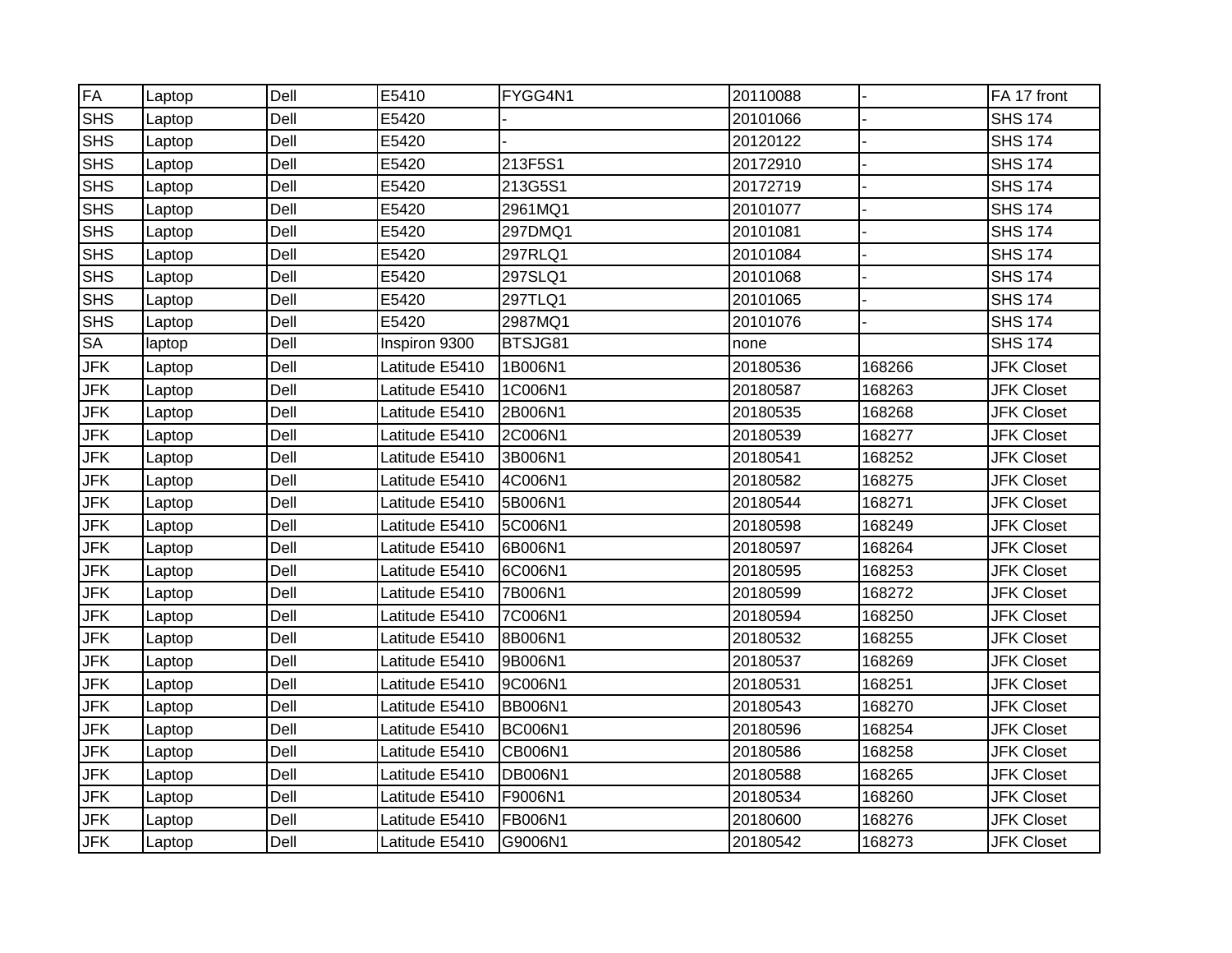| <b>FA</b>  | Laptop | Dell | E5410          | FYGG4N1        | 20110088 |        | FA 17 front       |
|------------|--------|------|----------------|----------------|----------|--------|-------------------|
| <b>SHS</b> | Laptop | Dell | E5420          |                | 20101066 |        | <b>SHS 174</b>    |
| <b>SHS</b> | Laptop | Dell | E5420          |                | 20120122 |        | <b>SHS 174</b>    |
| <b>SHS</b> | Laptop | Dell | E5420          | 213F5S1        | 20172910 |        | <b>SHS 174</b>    |
| <b>SHS</b> | Laptop | Dell | E5420          | 213G5S1        | 20172719 |        | <b>SHS 174</b>    |
| <b>SHS</b> | Laptop | Dell | E5420          | 2961MQ1        | 20101077 |        | <b>SHS 174</b>    |
| <b>SHS</b> | Laptop | Dell | E5420          | 297DMQ1        | 20101081 |        | <b>SHS 174</b>    |
| <b>SHS</b> | Laptop | Dell | E5420          | 297RLQ1        | 20101084 |        | <b>SHS 174</b>    |
| <b>SHS</b> | Laptop | Dell | E5420          | 297SLQ1        | 20101068 |        | <b>SHS 174</b>    |
| <b>SHS</b> | Laptop | Dell | E5420          | 297TLQ1        | 20101065 |        | <b>SHS 174</b>    |
| <b>SHS</b> | Laptop | Dell | E5420          | 2987MQ1        | 20101076 |        | <b>SHS 174</b>    |
| SA         | laptop | Dell | Inspiron 9300  | BTSJG81        | none     |        | <b>SHS 174</b>    |
| <b>JFK</b> | Laptop | Dell | Latitude E5410 | 1B006N1        | 20180536 | 168266 | <b>JFK Closet</b> |
| <b>JFK</b> | Laptop | Dell | Latitude E5410 | 1C006N1        | 20180587 | 168263 | <b>JFK Closet</b> |
| <b>JFK</b> | Laptop | Dell | Latitude E5410 | 2B006N1        | 20180535 | 168268 | <b>JFK Closet</b> |
| <b>JFK</b> | Laptop | Dell | Latitude E5410 | 2C006N1        | 20180539 | 168277 | <b>JFK Closet</b> |
| <b>JFK</b> | Laptop | Dell | Latitude E5410 | 3B006N1        | 20180541 | 168252 | <b>JFK Closet</b> |
| <b>JFK</b> | Laptop | Dell | Latitude E5410 | 4C006N1        | 20180582 | 168275 | <b>JFK Closet</b> |
| <b>JFK</b> | Laptop | Dell | Latitude E5410 | 5B006N1        | 20180544 | 168271 | <b>JFK Closet</b> |
| <b>JFK</b> | Laptop | Dell | Latitude E5410 | 5C006N1        | 20180598 | 168249 | <b>JFK Closet</b> |
| <b>JFK</b> | Laptop | Dell | Latitude E5410 | 6B006N1        | 20180597 | 168264 | <b>JFK Closet</b> |
| <b>JFK</b> | Laptop | Dell | Latitude E5410 | 6C006N1        | 20180595 | 168253 | <b>JFK Closet</b> |
| <b>JFK</b> | Laptop | Dell | Latitude E5410 | 7B006N1        | 20180599 | 168272 | <b>JFK Closet</b> |
| <b>JFK</b> | Laptop | Dell | Latitude E5410 | 7C006N1        | 20180594 | 168250 | <b>JFK Closet</b> |
| JFK        | Laptop | Dell | Latitude E5410 | 8B006N1        | 20180532 | 168255 | <b>JFK Closet</b> |
| <b>JFK</b> | Laptop | Dell | Latitude E5410 | 9B006N1        | 20180537 | 168269 | <b>JFK Closet</b> |
| <b>JFK</b> | Laptop | Dell | Latitude E5410 | 9C006N1        | 20180531 | 168251 | <b>JFK Closet</b> |
| <b>JFK</b> | Laptop | Dell | Latitude E5410 | <b>BB006N1</b> | 20180543 | 168270 | <b>JFK Closet</b> |
| <b>JFK</b> | Laptop | Dell | Latitude E5410 | <b>BC006N1</b> | 20180596 | 168254 | <b>JFK Closet</b> |
| <b>JFK</b> | Laptop | Dell | Latitude E5410 | CB006N1        | 20180586 | 168258 | <b>JFK Closet</b> |
| <b>JFK</b> | Laptop | Dell | Latitude E5410 | <b>DB006N1</b> | 20180588 | 168265 | <b>JFK Closet</b> |
| <b>JFK</b> | Laptop | Dell | Latitude E5410 | F9006N1        | 20180534 | 168260 | <b>JFK Closet</b> |
| <b>JFK</b> | Laptop | Dell | Latitude E5410 | FB006N1        | 20180600 | 168276 | <b>JFK Closet</b> |
| <b>JFK</b> | Laptop | Dell | Latitude E5410 | G9006N1        | 20180542 | 168273 | <b>JFK Closet</b> |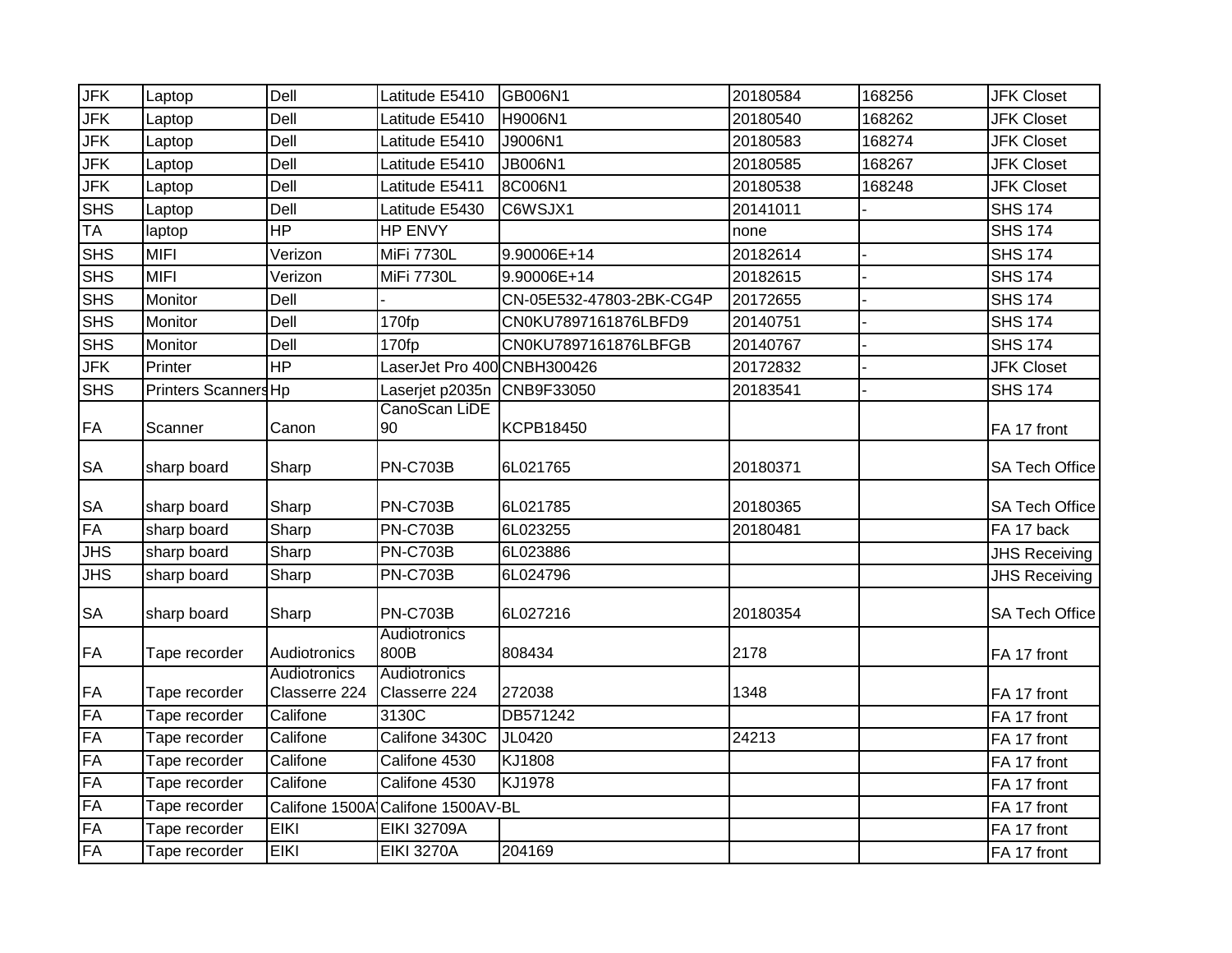| <b>JFK</b> | Laptop               | Dell                          | Latitude E5410                    | GB006N1                  | 20180584 | 168256 | <b>JFK Closet</b>     |
|------------|----------------------|-------------------------------|-----------------------------------|--------------------------|----------|--------|-----------------------|
| <b>JFK</b> | Laptop               | Dell                          | Latitude E5410                    | H9006N1                  | 20180540 | 168262 | <b>JFK Closet</b>     |
| <b>JFK</b> | Laptop               | Dell                          | Latitude E5410                    | J9006N1                  | 20180583 | 168274 | <b>JFK Closet</b>     |
| <b>JFK</b> | Laptop               | Dell                          | Latitude E5410                    | <b>JB006N1</b>           | 20180585 | 168267 | <b>JFK Closet</b>     |
| <b>JFK</b> | Laptop               | Dell                          | Latitude E5411                    | 8C006N1                  | 20180538 | 168248 | <b>JFK Closet</b>     |
| <b>SHS</b> | Laptop               | Dell                          | Latitude E5430                    | C6WSJX1                  | 20141011 |        | <b>SHS 174</b>        |
| <b>TA</b>  | laptop               | <b>HP</b>                     | HP ENVY                           |                          | none     |        | <b>SHS 174</b>        |
| <b>SHS</b> | <b>MIFI</b>          | Verizon                       | MiFi 7730L                        | 9.90006E+14              | 20182614 |        | <b>SHS 174</b>        |
| SHS        | <b>MIFI</b>          | Verizon                       | <b>MiFi 7730L</b>                 | 9.90006E+14              | 20182615 |        | <b>SHS 174</b>        |
| <b>SHS</b> | Monitor              | Dell                          |                                   | CN-05E532-47803-2BK-CG4P | 20172655 |        | <b>SHS 174</b>        |
| <b>SHS</b> | Monitor              | Dell                          | 170fp                             | CN0KU7897161876LBFD9     | 20140751 |        | <b>SHS 174</b>        |
| <b>SHS</b> | Monitor              | Dell                          | 170fp                             | CN0KU7897161876LBFGB     | 20140767 |        | <b>SHS 174</b>        |
| <b>JFK</b> | Printer              | <b>HP</b>                     | LaserJet Pro 400 CNBH300426       |                          | 20172832 |        | <b>JFK Closet</b>     |
| <b>SHS</b> | Printers Scanners Hp |                               | Laserjet p2035n                   | CNB9F33050               | 20183541 |        | <b>SHS 174</b>        |
| <b>FA</b>  | Scanner              | Canon                         | CanoScan LiDE<br>90               | <b>KCPB18450</b>         |          |        | FA 17 front           |
| <b>SA</b>  | sharp board          | Sharp                         | <b>PN-C703B</b>                   | 6L021765                 | 20180371 |        | <b>SA Tech Office</b> |
| <b>SA</b>  | sharp board          | Sharp                         | <b>PN-C703B</b>                   | 6L021785                 | 20180365 |        | <b>SA Tech Office</b> |
| <b>FA</b>  | sharp board          | Sharp                         | PN-C703B                          | 6L023255                 | 20180481 |        | FA 17 back            |
| <b>JHS</b> | sharp board          | Sharp                         | <b>PN-C703B</b>                   | 6L023886                 |          |        | <b>JHS Receiving</b>  |
| <b>JHS</b> | sharp board          | Sharp                         | $\overline{PN}$ C703B             | 6L024796                 |          |        | <b>JHS Receiving</b>  |
| <b>SA</b>  | sharp board          | Sharp                         | <b>PN-C703B</b>                   | 6L027216                 | 20180354 |        | <b>SA Tech Office</b> |
| <b>FA</b>  | Tape recorder        | Audiotronics                  | Audiotronics<br>800B              | 808434                   | 2178     |        | FA 17 front           |
| <b>FA</b>  | Tape recorder        | Audiotronics<br>Classerre 224 | Audiotronics<br>Classerre 224     | 272038                   | 1348     |        | FA 17 front           |
| FA         | Tape recorder        | Califone                      | 3130C                             | DB571242                 |          |        | FA 17 front           |
| FA         | Tape recorder        | Califone                      | Califone 3430C                    | JL0420                   | 24213    |        | FA 17 front           |
| FA         | Tape recorder        | Califone                      | Califone 4530                     | KJ1808                   |          |        | FA 17 front           |
| FA         | Tape recorder        | Califone                      | Califone 4530                     | KJ1978                   |          |        | FA 17 front           |
| <b>FA</b>  | Tape recorder        |                               | Califone 1500A Califone 1500AV-BL |                          |          |        | FA 17 front           |
| FA         | Tape recorder        | <b>EIKI</b>                   | <b>EIKI 32709A</b>                |                          |          |        | FA 17 front           |
| FA         | Tape recorder        | <b>EIKI</b>                   | <b>EIKI 3270A</b>                 | 204169                   |          |        | FA 17 front           |